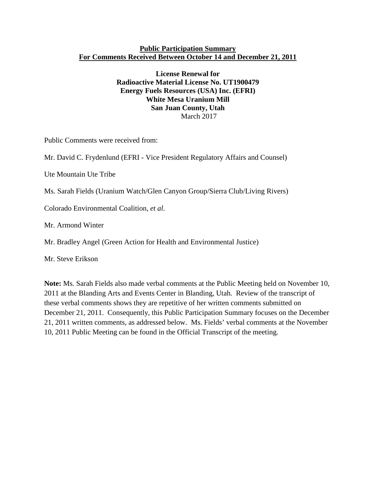#### **Public Participation Summary For Comments Received Between October 14 and December 21, 2011**

**License Renewal for Radioactive Material License No. UT1900479 Energy Fuels Resources (USA) Inc. (EFRI) White Mesa Uranium Mill San Juan County, Utah**  March 2017

Public Comments were received from:

Mr. David C. Frydenlund (EFRI - Vice President Regulatory Affairs and Counsel)

Ute Mountain Ute Tribe

Ms. Sarah Fields (Uranium Watch/Glen Canyon Group/Sierra Club/Living Rivers)

Colorado Environmental Coalition, *et al*.

Mr. Armond Winter

Mr. Bradley Angel (Green Action for Health and Environmental Justice)

Mr. Steve Erikson

**Note:** Ms. Sarah Fields also made verbal comments at the Public Meeting held on November 10, 2011 at the Blanding Arts and Events Center in Blanding, Utah. Review of the transcript of these verbal comments shows they are repetitive of her written comments submitted on December 21, 2011. Consequently, this Public Participation Summary focuses on the December 21, 2011 written comments, as addressed below. Ms. Fields' verbal comments at the November 10, 2011 Public Meeting can be found in the Official Transcript of the meeting.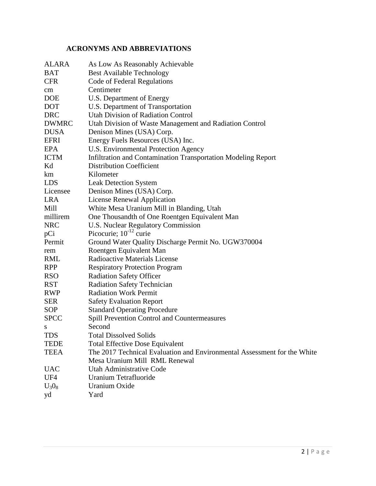# **ACRONYMS AND ABBREVIATIONS**

| <b>ALARA</b>    | As Low As Reasonably Achievable                                          |
|-----------------|--------------------------------------------------------------------------|
| <b>BAT</b>      | <b>Best Available Technology</b>                                         |
| <b>CFR</b>      | Code of Federal Regulations                                              |
| cm              | Centimeter                                                               |
| <b>DOE</b>      | U.S. Department of Energy                                                |
| <b>DOT</b>      | U.S. Department of Transportation                                        |
| <b>DRC</b>      | <b>Utah Division of Radiation Control</b>                                |
| <b>DWMRC</b>    | Utah Division of Waste Management and Radiation Control                  |
| <b>DUSA</b>     | Denison Mines (USA) Corp.                                                |
| <b>EFRI</b>     | Energy Fuels Resources (USA) Inc.                                        |
| EPA             | U.S. Environmental Protection Agency                                     |
| <b>ICTM</b>     | Infiltration and Contamination Transportation Modeling Report            |
| Kd              | <b>Distribution Coefficient</b>                                          |
| km              | Kilometer                                                                |
| <b>LDS</b>      | <b>Leak Detection System</b>                                             |
| Licensee        | Denison Mines (USA) Corp.                                                |
| <b>LRA</b>      | <b>License Renewal Application</b>                                       |
| Mill            | White Mesa Uranium Mill in Blanding, Utah                                |
| millirem        | One Thousandth of One Roentgen Equivalent Man                            |
| <b>NRC</b>      | <b>U.S. Nuclear Regulatory Commission</b>                                |
| pCi             | Picocurie; $10^{-12}$ curie                                              |
| Permit          | Ground Water Quality Discharge Permit No. UGW370004                      |
| rem             | Roentgen Equivalent Man                                                  |
| RML             | <b>Radioactive Materials License</b>                                     |
| <b>RPP</b>      | <b>Respiratory Protection Program</b>                                    |
| <b>RSO</b>      | <b>Radiation Safety Officer</b>                                          |
| <b>RST</b>      | <b>Radiation Safety Technician</b>                                       |
| <b>RWP</b>      | <b>Radiation Work Permit</b>                                             |
| <b>SER</b>      | <b>Safety Evaluation Report</b>                                          |
| SOP             | <b>Standard Operating Procedure</b>                                      |
| <b>SPCC</b>     | Spill Prevention Control and Countermeasures                             |
| S               | Second                                                                   |
| TDS             | <b>Total Dissolved Solids</b>                                            |
| <b>TEDE</b>     | <b>Total Effective Dose Equivalent</b>                                   |
| <b>TEEA</b>     | The 2017 Technical Evaluation and Environmental Assessment for the White |
|                 | Mesa Uranium Mill RML Renewal                                            |
| <b>UAC</b>      | Utah Administrative Code                                                 |
| UF <sub>4</sub> | Uranium Tetrafluoride                                                    |
| $U_3O_8$        | Uranium Oxide                                                            |
| yd              | Yard                                                                     |
|                 |                                                                          |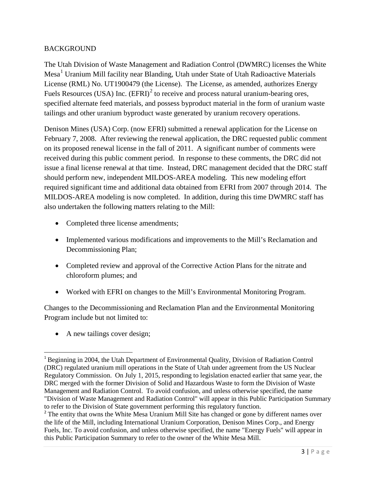#### BACKGROUND

The Utah Division of Waste Management and Radiation Control (DWMRC) licenses the White Mesa<sup>[1](#page-2-0)</sup> Uranium Mill facility near Blanding, Utah under State of Utah Radioactive Materials License (RML) No. UT1900479 (the License). The License, as amended, authorizes Energy Fuels Resources (USA) Inc.  $(EFRI)^2$  $(EFRI)^2$  to receive and process natural uranium-bearing ores, specified alternate feed materials, and possess byproduct material in the form of uranium waste tailings and other uranium byproduct waste generated by uranium recovery operations.

Denison Mines (USA) Corp. (now EFRI) submitted a renewal application for the License on February 7, 2008. After reviewing the renewal application, the DRC requested public comment on its proposed renewal license in the fall of 2011. A significant number of comments were received during this public comment period. In response to these comments, the DRC did not issue a final license renewal at that time. Instead, DRC management decided that the DRC staff should perform new, independent MILDOS-AREA modeling. This new modeling effort required significant time and additional data obtained from EFRI from 2007 through 2014. The MILDOS-AREA modeling is now completed. In addition, during this time DWMRC staff has also undertaken the following matters relating to the Mill:

- Completed three license amendments;
- Implemented various modifications and improvements to the Mill's Reclamation and Decommissioning Plan;
- Completed review and approval of the Corrective Action Plans for the nitrate and chloroform plumes; and
- Worked with EFRI on changes to the Mill's Environmental Monitoring Program.

Changes to the Decommissioning and Reclamation Plan and the Environmental Monitoring Program include but not limited to:

• A new tailings cover design;

<span id="page-2-0"></span> <sup>1</sup> Beginning in 2004, the Utah Department of Environmental Quality, Division of Radiation Control (DRC) regulated uranium mill operations in the State of Utah under agreement from the US Nuclear Regulatory Commission. On July 1, 2015, responding to legislation enacted earlier that same year, the DRC merged with the former Division of Solid and Hazardous Waste to form the Division of Waste Management and Radiation Control. To avoid confusion, and unless otherwise specified, the name "Division of Waste Management and Radiation Control" will appear in this Public Participation Summary to refer to the Division of State government performing this regulatory function.

<span id="page-2-1"></span><sup>&</sup>lt;sup>2</sup> The entity that owns the White Mesa Uranium Mill Site has changed or gone by different names over the life of the Mill, including International Uranium Corporation, Denison Mines Corp., and Energy Fuels, Inc. To avoid confusion, and unless otherwise specified, the name "Energy Fuels" will appear in this Public Participation Summary to refer to the owner of the White Mesa Mill.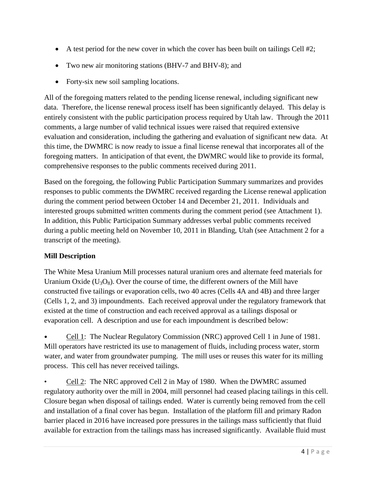- A test period for the new cover in which the cover has been built on tailings Cell #2;
- Two new air monitoring stations (BHV-7 and BHV-8); and
- Forty-six new soil sampling locations.

All of the foregoing matters related to the pending license renewal, including significant new data. Therefore, the license renewal process itself has been significantly delayed. This delay is entirely consistent with the public participation process required by Utah law. Through the 2011 comments, a large number of valid technical issues were raised that required extensive evaluation and consideration, including the gathering and evaluation of significant new data. At this time, the DWMRC is now ready to issue a final license renewal that incorporates all of the foregoing matters. In anticipation of that event, the DWMRC would like to provide its formal, comprehensive responses to the public comments received during 2011.

Based on the foregoing, the following Public Participation Summary summarizes and provides responses to public comments the DWMRC received regarding the License renewal application during the comment period between October 14 and December 21, 2011. Individuals and interested groups submitted written comments during the comment period (see Attachment 1). In addition, this Public Participation Summary addresses verbal public comments received during a public meeting held on November 10, 2011 in Blanding, Utah (see Attachment 2 for a transcript of the meeting).

### **Mill Description**

The White Mesa Uranium Mill processes natural uranium ores and alternate feed materials for Uranium Oxide  $(U_3O_8)$ . Over the course of time, the different owners of the Mill have constructed five tailings or evaporation cells, two 40 acres (Cells 4A and 4B) and three larger (Cells 1, 2, and 3) impoundments. Each received approval under the regulatory framework that existed at the time of construction and each received approval as a tailings disposal or evaporation cell. A description and use for each impoundment is described below:

• Cell 1: The Nuclear Regulatory Commission (NRC) approved Cell 1 in June of 1981. Mill operators have restricted its use to management of fluids, including process water, storm water, and water from groundwater pumping. The mill uses or reuses this water for its milling process. This cell has never received tailings.

• Cell 2: The NRC approved Cell 2 in May of 1980. When the DWMRC assumed regulatory authority over the mill in 2004, mill personnel had ceased placing tailings in this cell. Closure began when disposal of tailings ended. Water is currently being removed from the cell and installation of a final cover has begun. Installation of the platform fill and primary Radon barrier placed in 2016 have increased pore pressures in the tailings mass sufficiently that fluid available for extraction from the tailings mass has increased significantly. Available fluid must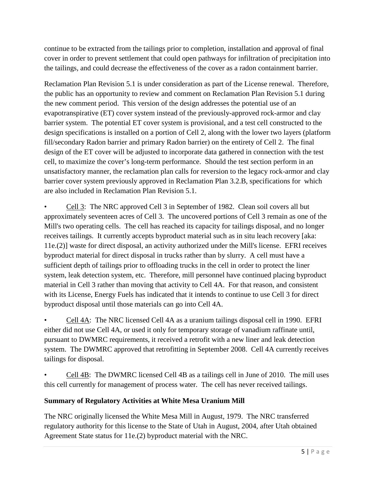continue to be extracted from the tailings prior to completion, installation and approval of final cover in order to prevent settlement that could open pathways for infiltration of precipitation into the tailings, and could decrease the effectiveness of the cover as a radon containment barrier.

Reclamation Plan Revision 5.1 is under consideration as part of the License renewal. Therefore, the public has an opportunity to review and comment on Reclamation Plan Revision 5.1 during the new comment period. This version of the design addresses the potential use of an evapotranspirative (ET) cover system instead of the previously-approved rock-armor and clay barrier system. The potential ET cover system is provisional, and a test cell constructed to the design specifications is installed on a portion of Cell 2, along with the lower two layers (platform fill/secondary Radon barrier and primary Radon barrier) on the entirety of Cell 2. The final design of the ET cover will be adjusted to incorporate data gathered in connection with the test cell, to maximize the cover's long-term performance. Should the test section perform in an unsatisfactory manner, the reclamation plan calls for reversion to the legacy rock-armor and clay barrier cover system previously approved in Reclamation Plan 3.2.B, specifications for which are also included in Reclamation Plan Revision 5.1.

• Cell 3: The NRC approved Cell 3 in September of 1982. Clean soil covers all but approximately seventeen acres of Cell 3. The uncovered portions of Cell 3 remain as one of the Mill's two operating cells. The cell has reached its capacity for tailings disposal, and no longer receives tailings. It currently accepts byproduct material such as in situ leach recovery [aka: 11e.(2)] waste for direct disposal, an activity authorized under the Mill's license. EFRI receives byproduct material for direct disposal in trucks rather than by slurry. A cell must have a sufficient depth of tailings prior to offloading trucks in the cell in order to protect the liner system, leak detection system, etc. Therefore, mill personnel have continued placing byproduct material in Cell 3 rather than moving that activity to Cell 4A. For that reason, and consistent with its License, Energy Fuels has indicated that it intends to continue to use Cell 3 for direct byproduct disposal until those materials can go into Cell 4A.

• Cell 4A: The NRC licensed Cell 4A as a uranium tailings disposal cell in 1990. EFRI either did not use Cell 4A, or used it only for temporary storage of vanadium raffinate until, pursuant to DWMRC requirements, it received a retrofit with a new liner and leak detection system. The DWMRC approved that retrofitting in September 2008. Cell 4A currently receives tailings for disposal.

• Cell 4B: The DWMRC licensed Cell 4B as a tailings cell in June of 2010. The mill uses this cell currently for management of process water. The cell has never received tailings.

### **Summary of Regulatory Activities at White Mesa Uranium Mill**

The NRC originally licensed the White Mesa Mill in August, 1979. The NRC transferred regulatory authority for this license to the State of Utah in August, 2004, after Utah obtained Agreement State status for 11e.(2) byproduct material with the NRC.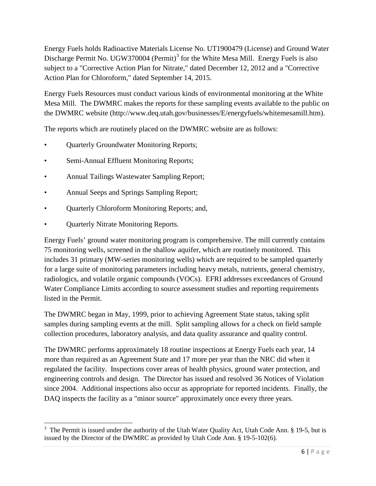Energy Fuels holds Radioactive Materials License No. UT1900479 (License) and Ground Water Discharge Permit No. UGW[3](#page-5-0)70004 (Permit)<sup>3</sup> for the White Mesa Mill. Energy Fuels is also subject to a "Corrective Action Plan for Nitrate," dated December 12, 2012 and a "Corrective Action Plan for Chloroform," dated September 14, 2015.

Energy Fuels Resources must conduct various kinds of environmental monitoring at the White Mesa Mill. The DWMRC makes the reports for these sampling events available to the public on the DWMRC website (http://www.deq.utah.gov/businesses/E/energyfuels/whitemesamill.htm).

The reports which are routinely placed on the DWMRC website are as follows:

- Quarterly Groundwater Monitoring Reports;
- Semi-Annual Effluent Monitoring Reports;
- Annual Tailings Wastewater Sampling Report;
- Annual Seeps and Springs Sampling Report;
- Quarterly Chloroform Monitoring Reports; and,
- Quarterly Nitrate Monitoring Reports.

Energy Fuels' ground water monitoring program is comprehensive. The mill currently contains 75 monitoring wells, screened in the shallow aquifer, which are routinely monitored. This includes 31 primary (MW-series monitoring wells) which are required to be sampled quarterly for a large suite of monitoring parameters including heavy metals, nutrients, general chemistry, radiologics, and volatile organic compounds (VOCs). EFRI addresses exceedances of Ground Water Compliance Limits according to source assessment studies and reporting requirements listed in the Permit.

The DWMRC began in May, 1999, prior to achieving Agreement State status, taking split samples during sampling events at the mill. Split sampling allows for a check on field sample collection procedures, laboratory analysis, and data quality assurance and quality control.

The DWMRC performs approximately 18 routine inspections at Energy Fuels each year, 14 more than required as an Agreement State and 17 more per year than the NRC did when it regulated the facility. Inspections cover areas of health physics, ground water protection, and engineering controls and design. The Director has issued and resolved 36 Notices of Violation since 2004. Additional inspections also occur as appropriate for reported incidents. Finally, the DAQ inspects the facility as a "minor source" approximately once every three years.

<span id="page-5-0"></span><sup>&</sup>lt;sup>3</sup> The Permit is issued under the authority of the Utah Water Quality Act, Utah Code Ann. § 19-5, but is issued by the Director of the DWMRC as provided by Utah Code Ann. § 19-5-102(6).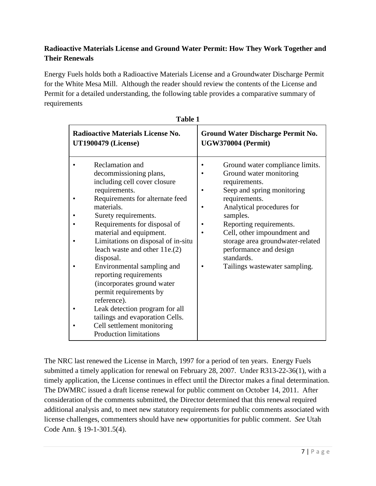## **Radioactive Materials License and Ground Water Permit: How They Work Together and Their Renewals**

Energy Fuels holds both a Radioactive Materials License and a Groundwater Discharge Permit for the White Mesa Mill. Although the reader should review the contents of the License and Permit for a detailed understanding, the following table provides a comparative summary of requirements

| 1 avie 1                                                                                                                                                                                                                                                                                                                                                                                                                                                                                                                                                                              |                                                                                                                                                                                                                                                                                                                                            |  |  |  |  |  |
|---------------------------------------------------------------------------------------------------------------------------------------------------------------------------------------------------------------------------------------------------------------------------------------------------------------------------------------------------------------------------------------------------------------------------------------------------------------------------------------------------------------------------------------------------------------------------------------|--------------------------------------------------------------------------------------------------------------------------------------------------------------------------------------------------------------------------------------------------------------------------------------------------------------------------------------------|--|--|--|--|--|
| Radioactive Materials License No.<br><b>UT1900479 (License)</b>                                                                                                                                                                                                                                                                                                                                                                                                                                                                                                                       | Ground Water Discharge Permit No.<br><b>UGW370004 (Permit)</b>                                                                                                                                                                                                                                                                             |  |  |  |  |  |
| Reclamation and<br>decommissioning plans,<br>including cell cover closure<br>requirements.<br>Requirements for alternate feed<br>materials.<br>Surety requirements.<br>Requirements for disposal of<br>material and equipment.<br>Limitations on disposal of in-situ<br>leach waste and other 11e.(2)<br>disposal.<br>Environmental sampling and<br>reporting requirements<br>(incorporates ground water<br>permit requirements by<br>reference).<br>Leak detection program for all<br>tailings and evaporation Cells.<br>Cell settlement monitoring<br><b>Production limitations</b> | Ground water compliance limits.<br>Ground water monitoring<br>requirements.<br>Seep and spring monitoring<br>requirements.<br>Analytical procedures for<br>samples.<br>Reporting requirements.<br>Cell, other impoundment and<br>storage area groundwater-related<br>performance and design<br>standards.<br>Tailings wastewater sampling. |  |  |  |  |  |

| 'able |  |
|-------|--|
|-------|--|

The NRC last renewed the License in March, 1997 for a period of ten years. Energy Fuels submitted a timely application for renewal on February 28, 2007. Under R313-22-36(1), with a timely application, the License continues in effect until the Director makes a final determination. The DWMRC issued a draft license renewal for public comment on October 14, 2011. After consideration of the comments submitted, the Director determined that this renewal required additional analysis and, to meet new statutory requirements for public comments associated with license challenges, commenters should have new opportunities for public comment. *See* Utah Code Ann. § 19-1-301.5(4).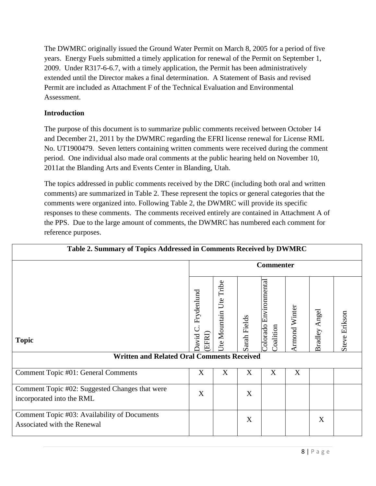The DWMRC originally issued the Ground Water Permit on March 8, 2005 for a period of five years. Energy Fuels submitted a timely application for renewal of the Permit on September 1, 2009. Under R317-6-6.7, with a timely application, the Permit has been administratively extended until the Director makes a final determination. A Statement of Basis and revised Permit are included as Attachment F of the Technical Evaluation and Environmental Assessment.

#### **Introduction**

The purpose of this document is to summarize public comments received between October 14 and December 21, 2011 by the DWMRC regarding the EFRI license renewal for License RML No. UT1900479. Seven letters containing written comments were received during the comment period. One individual also made oral comments at the public hearing held on November 10, 2011at the Blanding Arts and Events Center in Blanding, Utah.

The topics addressed in public comments received by the DRC (including both oral and written comments) are summarized in Table 2. These represent the topics or general categories that the comments were organized into. Following Table 2, the DWMRC will provide its specific responses to these comments. The comments received entirely are contained in Attachment A of the PPS. Due to the large amount of comments, the DWMRC has numbered each comment for reference purposes.

| Table 2. Summary of Topics Addressed in Comments Received by DWMRC          |                                |                              |              |                                   |                      |                  |                      |
|-----------------------------------------------------------------------------|--------------------------------|------------------------------|--------------|-----------------------------------|----------------------|------------------|----------------------|
|                                                                             |                                |                              |              | <b>Commenter</b>                  |                      |                  |                      |
| <b>Topic</b><br><b>Written and Related Oral Comments Received</b>           | Frydenlund<br>David C<br>EFRI) | Tribe<br>Ute<br>Jte Mountain | Sarah Fields | olorado Environmental<br>oalition | <b>Armond Winter</b> | Angel<br>Bradley | <b>Steve Erikson</b> |
|                                                                             |                                |                              |              |                                   |                      |                  |                      |
| Comment Topic #01: General Comments                                         | X                              | X                            | X            | X                                 | X                    |                  |                      |
| Comment Topic #02: Suggested Changes that were<br>incorporated into the RML | X                              |                              | X            |                                   |                      |                  |                      |
| Comment Topic #03: Availability of Documents<br>Associated with the Renewal |                                |                              | X            |                                   |                      | X                |                      |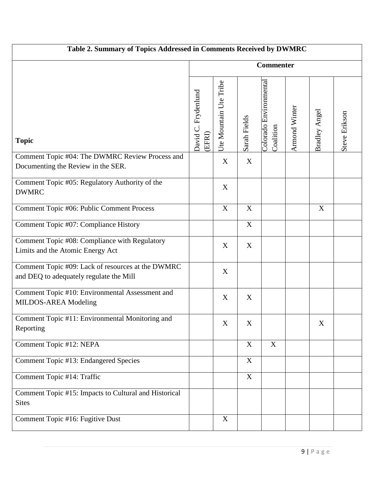| Table 2. Summary of Topics Addressed in Comments Received by DWMRC                           |                               |                        |              |                                     |               |               |               |
|----------------------------------------------------------------------------------------------|-------------------------------|------------------------|--------------|-------------------------------------|---------------|---------------|---------------|
|                                                                                              | <b>Commenter</b>              |                        |              |                                     |               |               |               |
| <b>Topic</b>                                                                                 | David C. Frydenlund<br>(EFRI) | Ute Mountain Ute Tribe | Sarah Fields | Colorado Environmental<br>Coalition | Armond Winter | Bradley Angel | Steve Erikson |
| Comment Topic #04: The DWMRC Review Process and<br>Documenting the Review in the SER.        |                               | $\mathbf X$            | X            |                                     |               |               |               |
| Comment Topic #05: Regulatory Authority of the<br><b>DWMRC</b>                               |                               | X                      |              |                                     |               |               |               |
| Comment Topic #06: Public Comment Process                                                    |                               | $\mathbf X$            | X            |                                     |               | X             |               |
| Comment Topic #07: Compliance History                                                        |                               |                        | $\mathbf X$  |                                     |               |               |               |
| Comment Topic #08: Compliance with Regulatory<br>Limits and the Atomic Energy Act            |                               | X                      | X            |                                     |               |               |               |
| Comment Topic #09: Lack of resources at the DWMRC<br>and DEQ to adequately regulate the Mill |                               | $\mathbf X$            |              |                                     |               |               |               |
| Comment Topic #10: Environmental Assessment and<br>MILDOS-AREA Modeling                      |                               | X                      | X            |                                     |               |               |               |
| Comment Topic #11: Environmental Monitoring and<br>Reporting                                 |                               | X                      | X            |                                     |               | X             |               |
| Comment Topic #12: NEPA                                                                      |                               |                        | $\mathbf X$  | $\mathbf X$                         |               |               |               |
| Comment Topic #13: Endangered Species                                                        |                               |                        | $\mathbf X$  |                                     |               |               |               |
| Comment Topic #14: Traffic                                                                   |                               |                        | X            |                                     |               |               |               |
| Comment Topic #15: Impacts to Cultural and Historical<br><b>Sites</b>                        |                               |                        |              |                                     |               |               |               |
| Comment Topic #16: Fugitive Dust                                                             |                               | X                      |              |                                     |               |               |               |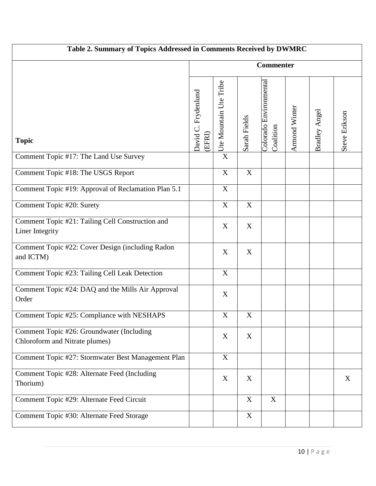| Table 2. Summary of Topics Addressed in Comments Received by DWMRC          |                               |                                                                                                                                                                                                                                                                                                                                                                                                                                     |                  |                                     |               |               |               |
|-----------------------------------------------------------------------------|-------------------------------|-------------------------------------------------------------------------------------------------------------------------------------------------------------------------------------------------------------------------------------------------------------------------------------------------------------------------------------------------------------------------------------------------------------------------------------|------------------|-------------------------------------|---------------|---------------|---------------|
|                                                                             | <b>Commenter</b>              |                                                                                                                                                                                                                                                                                                                                                                                                                                     |                  |                                     |               |               |               |
| <b>Topic</b>                                                                | David C. Frydenlund<br>(EFRI) | $\frac{1}{\sqrt{1 + \frac{1}{\sqrt{1 + \frac{1}{\sqrt{1 + \frac{1}{\sqrt{1 + \frac{1}{\sqrt{1 + \frac{1}{\sqrt{1 + \frac{1}{\sqrt{1 + \frac{1}{\sqrt{1 + \frac{1}{\sqrt{1 + \frac{1}{\sqrt{1 + \frac{1}{\sqrt{1 + \frac{1}{\sqrt{1 + \frac{1}{\sqrt{1 + \frac{1}{\sqrt{1 + \frac{1}{\sqrt{1 + \frac{1}{\sqrt{1 + \frac{1}{\sqrt{1 + \frac{1}{\sqrt{1 + \frac{1}{\sqrt{1 + \frac{1}{\sqrt{1 + \frac{1}{\sqrt{1 + \frac{1}{\sqrt{1 +$ | Sarah Fields     | Colorado Environmental<br>Coalition | Armond Winter | Bradley Angel | Steve Erikson |
| Comment Topic #17: The Land Use Survey                                      |                               |                                                                                                                                                                                                                                                                                                                                                                                                                                     |                  |                                     |               |               |               |
| Comment Topic #18: The USGS Report                                          |                               | $\mathbf X$                                                                                                                                                                                                                                                                                                                                                                                                                         | $\boldsymbol{X}$ |                                     |               |               |               |
| Comment Topic #19: Approval of Reclamation Plan 5.1                         |                               | $\boldsymbol{\mathrm{X}}$                                                                                                                                                                                                                                                                                                                                                                                                           |                  |                                     |               |               |               |
| Comment Topic #20: Surety                                                   |                               | $\mathbf X$                                                                                                                                                                                                                                                                                                                                                                                                                         | X                |                                     |               |               |               |
| Comment Topic #21: Tailing Cell Construction and<br>Liner Integrity         |                               | $\mathbf X$                                                                                                                                                                                                                                                                                                                                                                                                                         | X                |                                     |               |               |               |
| Comment Topic #22: Cover Design (including Radon<br>and ICTM)               |                               | $\mathbf X$                                                                                                                                                                                                                                                                                                                                                                                                                         | X                |                                     |               |               |               |
| Comment Topic #23: Tailing Cell Leak Detection                              |                               | $\mathbf X$                                                                                                                                                                                                                                                                                                                                                                                                                         |                  |                                     |               |               |               |
| Comment Topic #24: DAQ and the Mills Air Approval<br>Order                  |                               | X                                                                                                                                                                                                                                                                                                                                                                                                                                   |                  |                                     |               |               |               |
| Comment Topic #25: Compliance with NESHAPS                                  |                               | $\mathbf X$                                                                                                                                                                                                                                                                                                                                                                                                                         | $\mathbf X$      |                                     |               |               |               |
| Comment Topic #26: Groundwater (Including<br>Chloroform and Nitrate plumes) |                               | X                                                                                                                                                                                                                                                                                                                                                                                                                                   | X                |                                     |               |               |               |
| Comment Topic #27: Stormwater Best Management Plan                          |                               | $\mathbf X$                                                                                                                                                                                                                                                                                                                                                                                                                         |                  |                                     |               |               |               |
| Comment Topic #28: Alternate Feed (Including<br>Thorium)                    |                               | X                                                                                                                                                                                                                                                                                                                                                                                                                                   | X                |                                     |               |               | X             |
| Comment Topic #29: Alternate Feed Circuit                                   |                               |                                                                                                                                                                                                                                                                                                                                                                                                                                     | X                | $\mathbf X$                         |               |               |               |
| Comment Topic #30: Alternate Feed Storage                                   |                               |                                                                                                                                                                                                                                                                                                                                                                                                                                     | X                |                                     |               |               |               |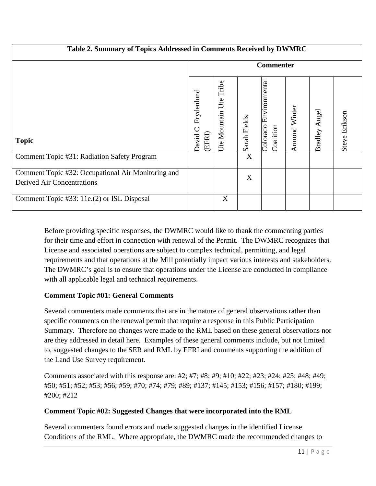| Table 2. Summary of Topics Addressed in Comments Received by DWMRC               |                               |                              |              |                                        |                      |                  |               |
|----------------------------------------------------------------------------------|-------------------------------|------------------------------|--------------|----------------------------------------|----------------------|------------------|---------------|
|                                                                                  | <b>Commenter</b>              |                              |              |                                        |                      |                  |               |
| <b>Topic</b>                                                                     | Frydenlund<br>(EFRI)<br>David | Tribe<br>Ute<br>Ute Mountain | Sarah Fields | Environmental<br>Colorado<br>Coalition | <b>Armond Winter</b> | Angel<br>Bradley | Steve Erikson |
| Comment Topic #31: Radiation Safety Program                                      |                               |                              | X            |                                        |                      |                  |               |
| Comment Topic #32: Occupational Air Monitoring and<br>Derived Air Concentrations |                               |                              | X            |                                        |                      |                  |               |
| Comment Topic #33: 11e.(2) or ISL Disposal                                       |                               | X                            |              |                                        |                      |                  |               |

Before providing specific responses, the DWMRC would like to thank the commenting parties for their time and effort in connection with renewal of the Permit. The DWMRC recognizes that License and associated operations are subject to complex technical, permitting, and legal requirements and that operations at the Mill potentially impact various interests and stakeholders. The DWMRC's goal is to ensure that operations under the License are conducted in compliance with all applicable legal and technical requirements.

### **Comment Topic #01: General Comments**

Several commenters made comments that are in the nature of general observations rather than specific comments on the renewal permit that require a response in this Public Participation Summary. Therefore no changes were made to the RML based on these general observations nor are they addressed in detail here. Examples of these general comments include, but not limited to, suggested changes to the SER and RML by EFRI and comments supporting the addition of the Land Use Survey requirement.

Comments associated with this response are: #2; #7; #8; #9; #10; #22; #23; #24; #25; #48; #49; #50; #51; #52; #53; #56; #59; #70; #74; #79; #89; #137; #145; #153; #156; #157; #180; #199; #200; #212

# **Comment Topic #02: Suggested Changes that were incorporated into the RML**

Several commenters found errors and made suggested changes in the identified License Conditions of the RML. Where appropriate, the DWMRC made the recommended changes to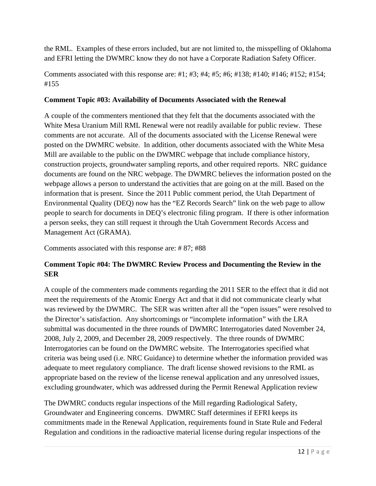the RML. Examples of these errors included, but are not limited to, the misspelling of Oklahoma and EFRI letting the DWMRC know they do not have a Corporate Radiation Safety Officer.

Comments associated with this response are: #1; #3; #4; #5; #6; #138; #140; #146; #152; #154; #155

#### **Comment Topic #03: Availability of Documents Associated with the Renewal**

A couple of the commenters mentioned that they felt that the documents associated with the White Mesa Uranium Mill RML Renewal were not readily available for public review. These comments are not accurate. All of the documents associated with the License Renewal were posted on the DWMRC website. In addition, other documents associated with the White Mesa Mill are available to the public on the DWMRC webpage that include compliance history, construction projects, groundwater sampling reports, and other required reports. NRC guidance documents are found on the NRC webpage. The DWMRC believes the information posted on the webpage allows a person to understand the activities that are going on at the mill. Based on the information that is present. Since the 2011 Public comment period, the Utah Department of Environmental Quality (DEQ) now has the "EZ Records Search" link on the web page to allow people to search for documents in DEQ's electronic filing program. If there is other information a person seeks, they can still request it through the Utah Government Records Access and Management Act (GRAMA).

Comments associated with this response are: # 87; #88

### **Comment Topic #04: The DWMRC Review Process and Documenting the Review in the SER**

A couple of the commenters made comments regarding the 2011 SER to the effect that it did not meet the requirements of the Atomic Energy Act and that it did not communicate clearly what was reviewed by the DWMRC. The SER was written after all the "open issues" were resolved to the Director's satisfaction. Any shortcomings or "incomplete information" with the LRA submittal was documented in the three rounds of DWMRC Interrogatories dated November 24, 2008, July 2, 2009, and December 28, 2009 respectively. The three rounds of DWMRC Interrogatories can be found on the DWMRC website. The Interrogatories specified what criteria was being used (i.e. NRC Guidance) to determine whether the information provided was adequate to meet regulatory compliance. The draft license showed revisions to the RML as appropriate based on the review of the license renewal application and any unresolved issues, excluding groundwater, which was addressed during the Permit Renewal Application review

The DWMRC conducts regular inspections of the Mill regarding Radiological Safety, Groundwater and Engineering concerns. DWMRC Staff determines if EFRI keeps its commitments made in the Renewal Application, requirements found in State Rule and Federal Regulation and conditions in the radioactive material license during regular inspections of the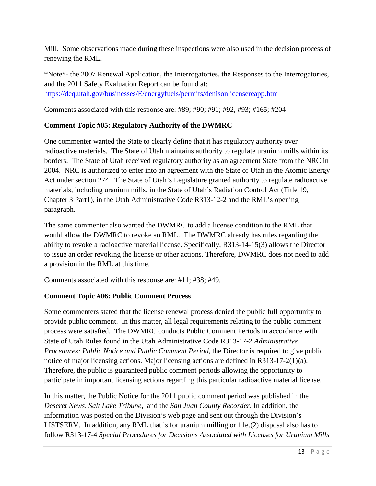Mill. Some observations made during these inspections were also used in the decision process of renewing the RML.

\*Note\*- the 2007 Renewal Application, the Interrogatories, the Responses to the Interrogatories, and the 2011 Safety Evaluation Report can be found at: <https://deq.utah.gov/businesses/E/energyfuels/permits/denisonlicensereapp.htm>

Comments associated with this response are: #89; #90; #91; #92, #93; #165; #204

#### **Comment Topic #05: Regulatory Authority of the DWMRC**

One commenter wanted the State to clearly define that it has regulatory authority over radioactive materials. The State of Utah maintains authority to regulate uranium mills within its borders. The State of Utah received regulatory authority as an agreement State from the NRC in 2004. NRC is authorized to enter into an agreement with the State of Utah in the Atomic Energy Act under section 274. The State of Utah's Legislature granted authority to regulate radioactive materials, including uranium mills, in the State of Utah's Radiation Control Act (Title 19, Chapter 3 Part1), in the Utah Administrative Code R313-12-2 and the RML's opening paragraph.

The same commenter also wanted the DWMRC to add a license condition to the RML that would allow the DWMRC to revoke an RML. The DWMRC already has rules regarding the ability to revoke a radioactive material license. Specifically, R313-14-15(3) allows the Director to issue an order revoking the license or other actions. Therefore, DWMRC does not need to add a provision in the RML at this time.

Comments associated with this response are: #11; #38; #49.

#### **Comment Topic #06: Public Comment Process**

Some commenters stated that the license renewal process denied the public full opportunity to provide public comment. In this matter, all legal requirements relating to the public comment process were satisfied. The DWMRC conducts Public Comment Periods in accordance with State of Utah Rules found in the Utah Administrative Code R313-17-2 *Administrative Procedures; Public Notice and Public Comment Period*, the Director is required to give public notice of major licensing actions. Major licensing actions are defined in R313-17-2(1)(a). Therefore, the public is guaranteed public comment periods allowing the opportunity to participate in important licensing actions regarding this particular radioactive material license.

In this matter, the Public Notice for the 2011 public comment period was published in the *Deseret News*, *Salt Lake Tribune,* and the *San Juan County Recorder*. In addition, the information was posted on the Division's web page and sent out through the Division's LISTSERV. In addition, any RML that is for uranium milling or 11e.(2) disposal also has to follow R313-17-4 *Special Procedures for Decisions Associated with Licenses for Uranium Mills*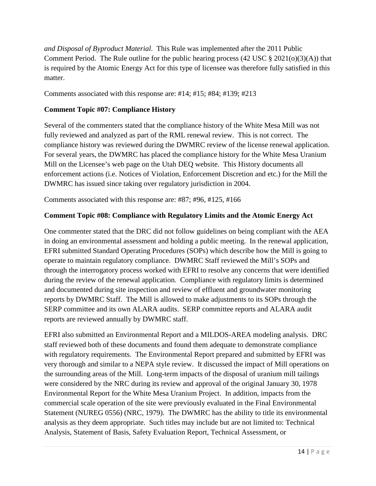*and Disposal of Byproduct Material*. This Rule was implemented after the 2011 Public Comment Period. The Rule outline for the public hearing process  $(42 \text{ USC} \text{ } \text{\&} 2021(o)(3)(A))$  that is required by the Atomic Energy Act for this type of licensee was therefore fully satisfied in this matter.

Comments associated with this response are: #14; #15; #84; #139; #213

### **Comment Topic #07: Compliance History**

Several of the commenters stated that the compliance history of the White Mesa Mill was not fully reviewed and analyzed as part of the RML renewal review. This is not correct. The compliance history was reviewed during the DWMRC review of the license renewal application. For several years, the DWMRC has placed the compliance history for the White Mesa Uranium Mill on the Licensee's web page on the Utah DEQ website. This History documents all enforcement actions (i.e. Notices of Violation, Enforcement Discretion and etc.) for the Mill the DWMRC has issued since taking over regulatory jurisdiction in 2004.

Comments associated with this response are: #87; #96, #125, #166

#### **Comment Topic #08: Compliance with Regulatory Limits and the Atomic Energy Act**

One commenter stated that the DRC did not follow guidelines on being compliant with the AEA in doing an environmental assessment and holding a public meeting. In the renewal application, EFRI submitted Standard Operating Procedures (SOPs) which describe how the Mill is going to operate to maintain regulatory compliance. DWMRC Staff reviewed the Mill's SOPs and through the interrogatory process worked with EFRI to resolve any concerns that were identified during the review of the renewal application. Compliance with regulatory limits is determined and documented during site inspection and review of effluent and groundwater monitoring reports by DWMRC Staff. The Mill is allowed to make adjustments to its SOPs through the SERP committee and its own ALARA audits. SERP committee reports and ALARA audit reports are reviewed annually by DWMRC staff.

EFRI also submitted an Environmental Report and a MILDOS-AREA modeling analysis. DRC staff reviewed both of these documents and found them adequate to demonstrate compliance with regulatory requirements. The Environmental Report prepared and submitted by EFRI was very thorough and similar to a NEPA style review. It discussed the impact of Mill operations on the surrounding areas of the Mill. Long-term impacts of the disposal of uranium mill tailings were considered by the NRC during its review and approval of the original January 30, 1978 Environmental Report for the White Mesa Uranium Project. In addition, impacts from the commercial scale operation of the site were previously evaluated in the Final Environmental Statement (NUREG 0556) (NRC, 1979). The DWMRC has the ability to title its environmental analysis as they deem appropriate. Such titles may include but are not limited to: Technical Analysis, Statement of Basis, Safety Evaluation Report, Technical Assessment, or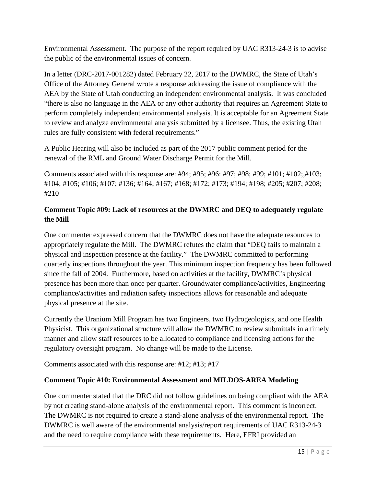Environmental Assessment. The purpose of the report required by UAC R313-24-3 is to advise the public of the environmental issues of concern.

In a letter (DRC-2017-001282) dated February 22, 2017 to the DWMRC, the State of Utah's Office of the Attorney General wrote a response addressing the issue of compliance with the AEA by the State of Utah conducting an independent environmental analysis. It was concluded "there is also no language in the AEA or any other authority that requires an Agreement State to perform completely independent environmental analysis. It is acceptable for an Agreement State to review and analyze environmental analysis submitted by a licensee. Thus, the existing Utah rules are fully consistent with federal requirements."

A Public Hearing will also be included as part of the 2017 public comment period for the renewal of the RML and Ground Water Discharge Permit for the Mill.

Comments associated with this response are: #94; #95; #96: #97; #98; #99; #101; #102;,#103; #104; #105; #106; #107; #136; #164; #167; #168; #172; #173; #194; #198; #205; #207; #208; #210

# **Comment Topic #09: Lack of resources at the DWMRC and DEQ to adequately regulate the Mill**

One commenter expressed concern that the DWMRC does not have the adequate resources to appropriately regulate the Mill. The DWMRC refutes the claim that "DEQ fails to maintain a physical and inspection presence at the facility." The DWMRC committed to performing quarterly inspections throughout the year. This minimum inspection frequency has been followed since the fall of 2004. Furthermore, based on activities at the facility, DWMRC's physical presence has been more than once per quarter. Groundwater compliance/activities, Engineering compliance/activities and radiation safety inspections allows for reasonable and adequate physical presence at the site.

Currently the Uranium Mill Program has two Engineers, two Hydrogeologists, and one Health Physicist. This organizational structure will allow the DWMRC to review submittals in a timely manner and allow staff resources to be allocated to compliance and licensing actions for the regulatory oversight program. No change will be made to the License.

Comments associated with this response are: #12; #13; #17

### **Comment Topic #10: Environmental Assessment and MILDOS-AREA Modeling**

One commenter stated that the DRC did not follow guidelines on being compliant with the AEA by not creating stand-alone analysis of the environmental report. This comment is incorrect. The DWMRC is not required to create a stand-alone analysis of the environmental report. The DWMRC is well aware of the environmental analysis/report requirements of UAC R313-24-3 and the need to require compliance with these requirements. Here, EFRI provided an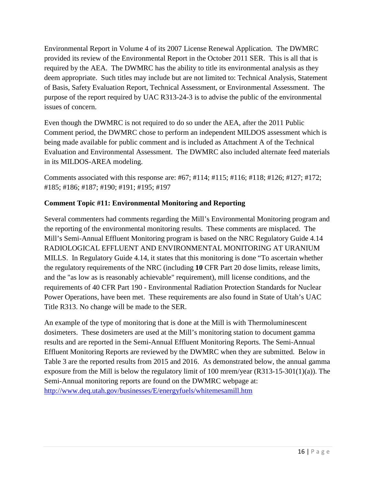Environmental Report in Volume 4 of its 2007 License Renewal Application. The DWMRC provided its review of the Environmental Report in the October 2011 SER. This is all that is required by the AEA. The DWMRC has the ability to title its environmental analysis as they deem appropriate. Such titles may include but are not limited to: Technical Analysis, Statement of Basis, Safety Evaluation Report, Technical Assessment, or Environmental Assessment. The purpose of the report required by UAC R313-24-3 is to advise the public of the environmental issues of concern.

Even though the DWMRC is not required to do so under the AEA, after the 2011 Public Comment period, the DWMRC chose to perform an independent MILDOS assessment which is being made available for public comment and is included as Attachment A of the Technical Evaluation and Environmental Assessment. The DWMRC also included alternate feed materials in its MILDOS-AREA modeling.

Comments associated with this response are: #67; #114; #115; #116; #118; #126; #127; #172; #185; #186; #187; #190; #191; #195; #197

### **Comment Topic #11: Environmental Monitoring and Reporting**

Several commenters had comments regarding the Mill's Environmental Monitoring program and the reporting of the environmental monitoring results. These comments are misplaced. The Mill's Semi-Annual Effluent Monitoring program is based on the NRC Regulatory Guide 4.14 RADIOLOGICAL EFFLUENT AND ENVIRONMENTAL MONITORING AT URANIUM MILLS. In Regulatory Guide 4.14, it states that this monitoring is done "To ascertain whether the regulatory requirements of the NRC (including **10** CFR Part 20 dose limits, release limits, and the "as low as is reasonably achievable" requirement), mill license conditions, and the requirements of 40 CFR Part 190 - Environmental Radiation Protection Standards for Nuclear Power Operations, have been met. These requirements are also found in State of Utah's UAC Title R313. No change will be made to the SER.

An example of the type of monitoring that is done at the Mill is with Thermoluminescent dosimeters. These dosimeters are used at the Mill's monitoring station to document gamma results and are reported in the Semi-Annual Effluent Monitoring Reports. The Semi-Annual Effluent Monitoring Reports are reviewed by the DWMRC when they are submitted. Below in Table 3 are the reported results from 2015 and 2016. As demonstrated below, the annual gamma exposure from the Mill is below the regulatory limit of 100 mrem/year (R313-15-301(1)(a)). The Semi-Annual monitoring reports are found on the DWMRC webpage at: <http://www.deq.utah.gov/businesses/E/energyfuels/whitemesamill.htm>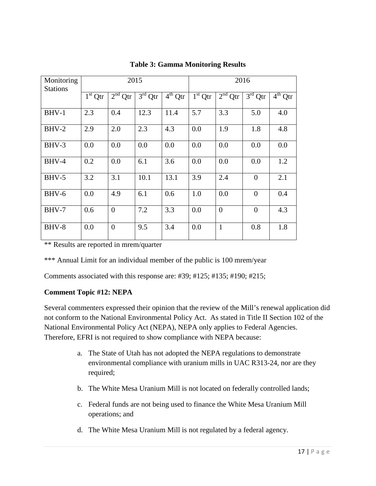| Monitoring<br><b>Stations</b> | 2015      |                     |           |              | 2016      |                |                |           |
|-------------------------------|-----------|---------------------|-----------|--------------|-----------|----------------|----------------|-----------|
|                               | $1st$ Qtr | 2 <sup>nd</sup> Qtr | $3rd$ Qtr | $4^{th}$ Qtr | $1st$ Qtr | $2nd$ Qtr      | $3rd$ Qtr      | $4th$ Qtr |
| $BHV-1$                       | 2.3       | 0.4                 | 12.3      | 11.4         | 5.7       | 3.3            | 5.0            | 4.0       |
| $BHV-2$                       | 2.9       | 2.0                 | 2.3       | 4.3          | 0.0       | 1.9            | 1.8            | 4.8       |
| BHV-3                         | 0.0       | 0.0                 | 0.0       | 0.0          | 0.0       | 0.0            | 0.0            | 0.0       |
| BHV-4                         | 0.2       | 0.0                 | 6.1       | 3.6          | 0.0       | 0.0            | 0.0            | 1.2       |
| $BHV-5$                       | 3.2       | 3.1                 | 10.1      | 13.1         | 3.9       | 2.4            | $\theta$       | 2.1       |
| BHV-6                         | 0.0       | 4.9                 | 6.1       | 0.6          | 1.0       | 0.0            | $\Omega$       | 0.4       |
| BHV-7                         | 0.6       | $\overline{0}$      | 7.2       | 3.3          | 0.0       | $\overline{0}$ | $\overline{0}$ | 4.3       |
| BHV-8                         | 0.0       | $\overline{0}$      | 9.5       | 3.4          | 0.0       | $\mathbf{1}$   | 0.8            | 1.8       |

#### **Table 3: Gamma Monitoring Results**

\*\* Results are reported in mrem/quarter

\*\*\* Annual Limit for an individual member of the public is 100 mrem/year

Comments associated with this response are: #39; #125; #135; #190; #215;

#### **Comment Topic #12: NEPA**

Several commenters expressed their opinion that the review of the Mill's renewal application did not conform to the National Environmental Policy Act. As stated in Title II Section 102 of the National Environmental Policy Act (NEPA), NEPA only applies to Federal Agencies. Therefore, EFRI is not required to show compliance with NEPA because:

- a. The State of Utah has not adopted the NEPA regulations to demonstrate environmental compliance with uranium mills in UAC R313-24, nor are they required;
- b. The White Mesa Uranium Mill is not located on federally controlled lands;
- c. Federal funds are not being used to finance the White Mesa Uranium Mill operations; and
- d. The White Mesa Uranium Mill is not regulated by a federal agency.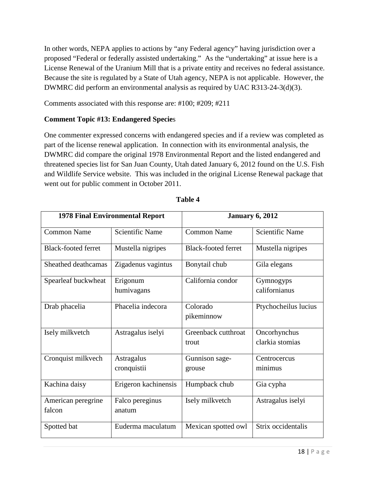In other words, NEPA applies to actions by "any Federal agency" having jurisdiction over a proposed "Federal or federally assisted undertaking." As the "undertaking" at issue here is a License Renewal of the Uranium Mill that is a private entity and receives no federal assistance. Because the site is regulated by a State of Utah agency, NEPA is not applicable. However, the DWMRC did perform an environmental analysis as required by UAC R313-24-3(d)(3).

Comments associated with this response are: #100; #209; #211

#### **Comment Topic #13: Endangered Specie**s

One commenter expressed concerns with endangered species and if a review was completed as part of the license renewal application. In connection with its environmental analysis, the DWMRC did compare the original 1978 Environmental Report and the listed endangered and threatened species list for San Juan County, Utah dated January 6, 2012 found on the U.S. Fish and Wildlife Service website. This was included in the original License Renewal package that went out for public comment in October 2011.

|                              | <b>1978 Final Environmental Report</b> | <b>January 6, 2012</b>       |                                 |  |  |
|------------------------------|----------------------------------------|------------------------------|---------------------------------|--|--|
| <b>Common Name</b>           | <b>Scientific Name</b>                 | <b>Common Name</b>           | <b>Scientific Name</b>          |  |  |
| <b>Black-footed ferret</b>   | Mustella nigripes                      | <b>Black-footed ferret</b>   | Mustella nigripes               |  |  |
| Sheathed deathcamas          | Zigadenus vagintus                     | Bonytail chub                | Gila elegans                    |  |  |
| Spearleaf buckwheat          | Erigonum<br>humivagans                 | California condor            | Gymnogyps<br>californianus      |  |  |
| Drab phacelia                | Phacelia indecora                      | Colorado<br>pikeminnow       | Ptychocheilus lucius            |  |  |
| Isely milkvetch              | Astragalus iselyi                      | Greenback cutthroat<br>trout | Oncorhynchus<br>clarkia stomias |  |  |
| Cronquist milkvech           | Astragalus<br>cronquistii              | Gunnison sage-<br>grouse     | Centrocercus<br>minimus         |  |  |
| Kachina daisy                | Erigeron kachinensis                   | Humpback chub                | Gia cypha                       |  |  |
| American peregrine<br>falcon | Falco pereginus<br>anatum              | Isely milkvetch              | Astragalus iselyi               |  |  |
| Spotted bat                  | Euderma maculatum                      | Mexican spotted owl          | Strix occidentalis              |  |  |

| 'able |  |
|-------|--|
|-------|--|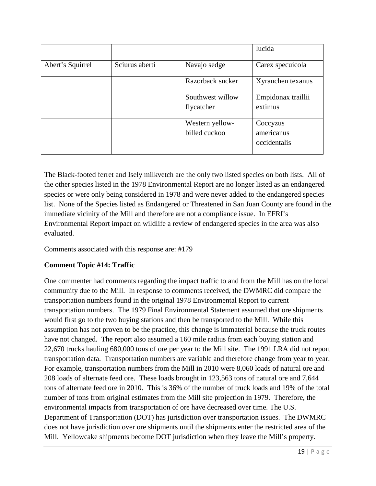|                  |                |                                  | lucida                                 |
|------------------|----------------|----------------------------------|----------------------------------------|
| Abert's Squirrel | Sciurus aberti | Navajo sedge                     | Carex specuicola                       |
|                  |                | Razorback sucker                 | Xyrauchen texanus                      |
|                  |                | Southwest willow<br>flycatcher   | Empidonax traillii<br>extimus          |
|                  |                | Western yellow-<br>billed cuckoo | Coccyzus<br>americanus<br>occidentalis |

The Black-footed ferret and Isely milkvetch are the only two listed species on both lists. All of the other species listed in the 1978 Environmental Report are no longer listed as an endangered species or were only being considered in 1978 and were never added to the endangered species list. None of the Species listed as Endangered or Threatened in San Juan County are found in the immediate vicinity of the Mill and therefore are not a compliance issue. In EFRI's Environmental Report impact on wildlife a review of endangered species in the area was also evaluated.

Comments associated with this response are: #179

### **Comment Topic #14: Traffic**

One commenter had comments regarding the impact traffic to and from the Mill has on the local community due to the Mill. In response to comments received, the DWMRC did compare the transportation numbers found in the original 1978 Environmental Report to current transportation numbers. The 1979 Final Environmental Statement assumed that ore shipments would first go to the two buying stations and then be transported to the Mill. While this assumption has not proven to be the practice, this change is immaterial because the truck routes have not changed. The report also assumed a 160 mile radius from each buying station and 22,670 trucks hauling 680,000 tons of ore per year to the Mill site. The 1991 LRA did not report transportation data. Transportation numbers are variable and therefore change from year to year. For example, transportation numbers from the Mill in 2010 were 8,060 loads of natural ore and 208 loads of alternate feed ore. These loads brought in 123,563 tons of natural ore and 7,644 tons of alternate feed ore in 2010. This is 36% of the number of truck loads and 19% of the total number of tons from original estimates from the Mill site projection in 1979. Therefore, the environmental impacts from transportation of ore have decreased over time. The U.S. Department of Transportation (DOT) has jurisdiction over transportation issues. The DWMRC does not have jurisdiction over ore shipments until the shipments enter the restricted area of the Mill. Yellowcake shipments become DOT jurisdiction when they leave the Mill's property.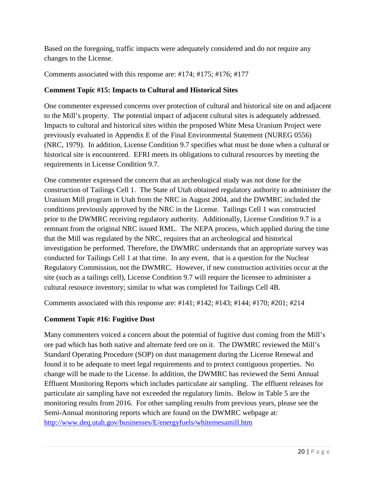Based on the foregoing, traffic impacts were adequately considered and do not require any changes to the License.

Comments associated with this response are: #174; #175; #176; #177

## **Comment Topic #15: Impacts to Cultural and Historical Sites**

One commenter expressed concerns over protection of cultural and historical site on and adjacent to the Mill's property. The potential impact of adjacent cultural sites is adequately addressed. Impacts to cultural and historical sites within the proposed White Mesa Uranium Project were previously evaluated in Appendix E of the Final Environmental Statement (NUREG 0556) (NRC, 1979). In addition, License Condition 9.7 specifies what must be done when a cultural or historical site is encountered. EFRI meets its obligations to cultural resources by meeting the requirements in License Condition 9.7.

One commenter expressed the concern that an archeological study was not done for the construction of Tailings Cell 1. The State of Utah obtained regulatory authority to administer the Uranium Mill program in Utah from the NRC in August 2004, and the DWMRC included the conditions previously approved by the NRC in the License. Tailings Cell 1 was constructed prior to the DWMRC receiving regulatory authority. Additionally, License Condition 9.7 is a remnant from the original NRC issued RML. The NEPA process, which applied during the time that the Mill was regulated by the NRC, requires that an archeological and historical investigation be performed. Therefore, the DWMRC understands that an appropriate survey was conducted for Tailings Cell 1 at that time. In any event, that is a question for the Nuclear Regulatory Commission, not the DWMRC. However, if new construction activities occur at the site (such as a tailings cell), License Condition 9.7 will require the licensee to administer a cultural resource inventory; similar to what was completed for Tailings Cell 4B.

Comments associated with this response are: #141; #142; #143; #144; #170; #201; #214

# **Comment Topic #16: Fugitive Dust**

Many commenters voiced a concern about the potential of fugitive dust coming from the Mill's ore pad which has both native and alternate feed ore on it. The DWMRC reviewed the Mill's Standard Operating Procedure (SOP) on dust management during the License Renewal and found it to be adequate to meet legal requirements and to protect contiguous properties. No change will be made to the License. In addition, the DWMRC has reviewed the Semi Annual Effluent Monitoring Reports which includes particulate air sampling. The effluent releases for particulate air sampling have not exceeded the regulatory limits. Below in Table 5 are the monitoring results from 2016. For other sampling results from previous years, please see the Semi-Annual monitoring reports which are found on the DWMRC webpage at: <http://www.deq.utah.gov/businesses/E/energyfuels/whitemesamill.htm>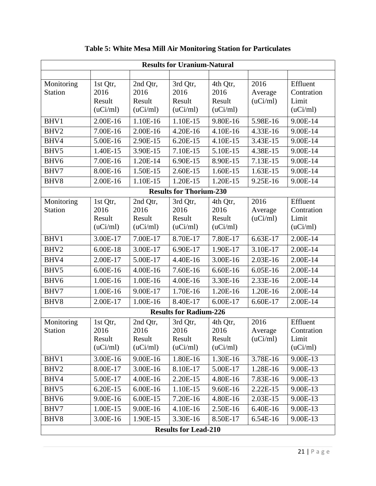| <b>Results for Uranium-Natural</b> |                                        |                                        |                                        |                                        |                             |                                             |  |  |  |
|------------------------------------|----------------------------------------|----------------------------------------|----------------------------------------|----------------------------------------|-----------------------------|---------------------------------------------|--|--|--|
|                                    |                                        |                                        |                                        |                                        |                             |                                             |  |  |  |
| Monitoring<br><b>Station</b>       | 1st Qtr,<br>2016<br>Result<br>(uCi/ml) | 2nd Qtr,<br>2016<br>Result<br>(uCi/ml) | 3rd Qtr,<br>2016<br>Result<br>(uCi/ml) | 4th Qtr,<br>2016<br>Result<br>(uCi/ml) | 2016<br>Average<br>(uCi/ml) | Effluent<br>Contration<br>Limit<br>(uCi/ml) |  |  |  |
| BHV1                               | 2.00E-16                               | 1.10E-16                               | 1.10E-15                               | 9.80E-16                               | 5.98E-16                    | 9.00E-14                                    |  |  |  |
| BHV2                               | 7.00E-16                               | 2.00E-16                               | 4.20E-16                               | 4.10E-16                               | 4.33E-16                    | 9.00E-14                                    |  |  |  |
| BHV4                               | 5.00E-16                               | 2.90E-15                               | 6.20E-15                               | 4.10E-15                               | 3.43E-15                    | 9.00E-14                                    |  |  |  |
| BHV5                               | 1.40E-15                               | 3.90E-15                               | 7.10E-15                               | 5.10E-15                               | 4.38E-15                    | 9.00E-14                                    |  |  |  |
| BHV6                               | 7.00E-16                               | 1.20E-14                               | 6.90E-15                               | 8.90E-15                               | 7.13E-15                    | 9.00E-14                                    |  |  |  |
| BHV7                               | 8.00E-16                               | 1.50E-15                               | 2.60E-15                               | 1.60E-15                               | 1.63E-15                    | 9.00E-14                                    |  |  |  |
| BHV8                               | 2.00E-16                               | 1.10E-15                               | 1.20E-15                               | 1.20E-15                               | 9.25E-16                    | 9.00E-14                                    |  |  |  |
|                                    |                                        |                                        | <b>Results for Thorium-230</b>         |                                        |                             |                                             |  |  |  |
| Monitoring<br><b>Station</b>       | 1st Qtr,<br>2016<br>Result<br>(uCi/ml) | 2nd Qtr,<br>2016<br>Result<br>(uCi/ml) | 3rd Qtr,<br>2016<br>Result<br>(uCi/ml) | 4th Qtr,<br>2016<br>Result<br>(uCi/ml) | 2016<br>Average<br>(uCi/ml) | Effluent<br>Contration<br>Limit<br>(uCi/ml) |  |  |  |
| BHV1                               | 3.00E-17                               | 7.00E-17                               | 8.70E-17                               | 7.80E-17                               | 6.63E-17                    | 2.00E-14                                    |  |  |  |
| BHV2                               | 6.00E-18                               | 3.00E-17                               | 6.90E-17                               | 1.90E-17                               | 3.10E-17                    | $2.00E-14$                                  |  |  |  |
| BHV4                               | 2.00E-17                               | 5.00E-17                               | 4.40E-16                               | 3.00E-16                               | 2.03E-16                    | 2.00E-14                                    |  |  |  |
| BHV5                               | 6.00E-16                               | 4.00E-16                               | 7.60E-16                               | 6.60E-16                               | 6.05E-16                    | 2.00E-14                                    |  |  |  |
| BHV6                               | 1.00E-16                               | 1.00E-16                               | 4.00E-16                               | 3.30E-16                               | 2.33E-16                    | 2.00E-14                                    |  |  |  |
| BHV7                               | 1.00E-16                               | 9.00E-17                               | 1.70E-16                               | 1.20E-16                               | 1.20E-16                    | 2.00E-14                                    |  |  |  |
| BHV8                               | 2.00E-17                               | 1.00E-16                               | 8.40E-17                               | 6.00E-17                               | 6.60E-17                    | 2.00E-14                                    |  |  |  |
|                                    |                                        |                                        | <b>Results for Radium-226</b>          |                                        |                             |                                             |  |  |  |
| Monitoring<br>Station              | 1st Qtr,<br>2016<br>Result<br>(uCi/ml) | 2nd Qtr,<br>2016<br>Result<br>(uCi/ml) | 3rd Qtr,<br>2016<br>Result<br>(uCi/ml) | 4th Qtr,<br>2016<br>Result<br>(uCi/ml) | 2016<br>Average<br>(uCi/ml) | Effluent<br>Contration<br>Limit<br>(uCi/ml) |  |  |  |
| BHV1                               | 3.00E-16                               | 9.00E-16                               | 1.80E-16                               | 1.30E-16                               | 3.78E-16                    | 9.00E-13                                    |  |  |  |
| BHV2                               | 8.00E-17                               | 3.00E-16                               | 8.10E-17                               | 5.00E-17                               | 1.28E-16                    | 9.00E-13                                    |  |  |  |
| BHV4                               | 5.00E-17                               | 4.00E-16                               | 2.20E-15                               | 4.80E-16                               | 7.83E-16                    | 9.00E-13                                    |  |  |  |
| BHV <sub>5</sub>                   | 6.20E-15                               | 6.00E-16                               | 1.10E-15                               | 9.60E-16                               | $2.22E-15$                  | 9.00E-13                                    |  |  |  |
| BHV <sub>6</sub>                   | 9.00E-16                               | 6.00E-15                               | 7.20E-16                               | 4.80E-16                               | 2.03E-15                    | 9.00E-13                                    |  |  |  |
| BHV7                               | 1.00E-15                               | 9.00E-16                               | 4.10E-16                               | 2.50E-16                               | 6.40E-16                    | 9.00E-13                                    |  |  |  |
| BHV8                               | 3.00E-16                               | 1.90E-15                               | 3.30E-16                               | 8.50E-17                               | 6.54E-16                    | 9.00E-13                                    |  |  |  |
|                                    | <b>Results for Lead-210</b>            |                                        |                                        |                                        |                             |                                             |  |  |  |

# **Table 5: White Mesa Mill Air Monitoring Station for Particulates**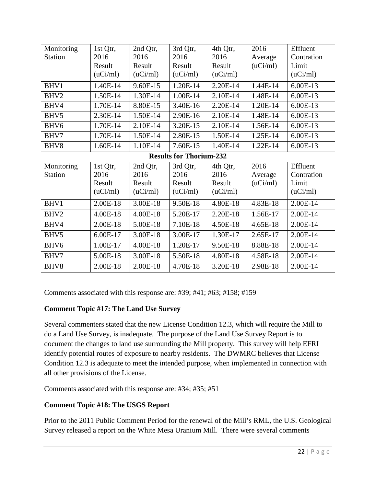| Monitoring                     | 1st Qtr, | 2nd Qtr, | 3rd Qtr, | 4th Qtr, | 2016     | Effluent   |  |
|--------------------------------|----------|----------|----------|----------|----------|------------|--|
| <b>Station</b>                 | 2016     | 2016     | 2016     | 2016     | Average  | Contration |  |
|                                | Result   | Result   | Result   | Result   | (uCi/ml) | Limit      |  |
|                                | (uCi/ml) | (uCi/ml) | (uCi/ml) | (uCi/ml) |          | (uCi/ml)   |  |
| BHV1                           | 1.40E-14 | 9.60E-15 | 1.20E-14 | 2.20E-14 | 1.44E-14 | 6.00E-13   |  |
| BHV2                           | 1.50E-14 | 1.30E-14 | 1.00E-14 | 2.10E-14 | 1.48E-14 | 6.00E-13   |  |
| BHV4                           | 1.70E-14 | 8.80E-15 | 3.40E-16 | 2.20E-14 | 1.20E-14 | 6.00E-13   |  |
| BHV5                           | 2.30E-14 | 1.50E-14 | 2.90E-16 | 2.10E-14 | 1.48E-14 | 6.00E-13   |  |
| BHV <sub>6</sub>               | 1.70E-14 | 2.10E-14 | 3.20E-15 | 2.10E-14 | 1.56E-14 | 6.00E-13   |  |
| BHV7                           | 1.70E-14 | 1.50E-14 | 2.80E-15 | 1.50E-14 | 1.25E-14 | 6.00E-13   |  |
| BHV8                           | 1.60E-14 | 1.10E-14 | 7.60E-15 | 1.40E-14 | 1.22E-14 | 6.00E-13   |  |
| <b>Results for Thorium-232</b> |          |          |          |          |          |            |  |
| Monitoring                     | 1st Qtr, | 2nd Qtr, | 3rd Qtr, | 4th Qtr, | 2016     | Effluent   |  |
| <b>Station</b>                 | 2016     | 2016     | 2016     | 2016     | Average  | Contration |  |
|                                | Result   | Result   | Result   | Result   | (uCi/ml) | Limit      |  |
|                                | (uCi/ml) | (uCi/ml) | (uCi/ml) | (uCi/ml) |          | (uCi/ml)   |  |
| BHV1                           | 2.00E-18 | 3.00E-18 | 9.50E-18 | 4.80E-18 | 4.83E-18 | 2.00E-14   |  |
| BHV2                           | 4.00E-18 | 4.00E-18 | 5.20E-17 | 2.20E-18 | 1.56E-17 | 2.00E-14   |  |
| BHV4                           | 2.00E-18 | 5.00E-18 | 7.10E-18 | 4.50E-18 | 4.65E-18 | 2.00E-14   |  |
| BHV5                           | 6.00E-17 | 3.00E-18 | 3.00E-17 | 1.30E-17 | 2.65E-17 | 2.00E-14   |  |
| BHV <sub>6</sub>               | 1.00E-17 | 4.00E-18 | 1.20E-17 | 9.50E-18 | 8.88E-18 | 2.00E-14   |  |
| BHV7                           | 5.00E-18 | 3.00E-18 | 5.50E-18 | 4.80E-18 | 4.58E-18 | 2.00E-14   |  |
| BHV8                           | 2.00E-18 | 2.00E-18 | 4.70E-18 | 3.20E-18 | 2.98E-18 | 2.00E-14   |  |

Comments associated with this response are: #39; #41; #63; #158; #159

### **Comment Topic #17: The Land Use Survey**

Several commenters stated that the new License Condition 12.3, which will require the Mill to do a Land Use Survey, is inadequate. The purpose of the Land Use Survey Report is to document the changes to land use surrounding the Mill property. This survey will help EFRI identify potential routes of exposure to nearby residents. The DWMRC believes that License Condition 12.3 is adequate to meet the intended purpose, when implemented in connection with all other provisions of the License.

Comments associated with this response are: #34; #35; #51

### **Comment Topic #18: The USGS Report**

Prior to the 2011 Public Comment Period for the renewal of the Mill's RML, the U.S. Geological Survey released a report on the White Mesa Uranium Mill. There were several comments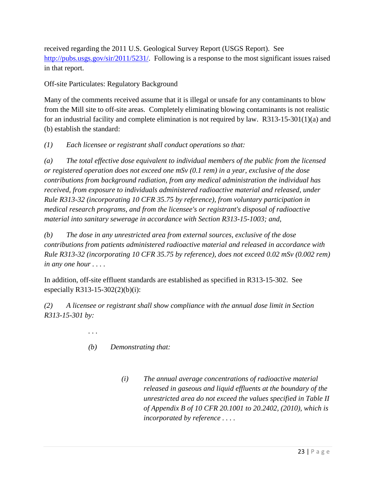received regarding the 2011 U.S. Geological Survey Report (USGS Report). See [http://pubs.usgs.gov/sir/2011/5231/.](http://pubs.usgs.gov/sir/2011/5231/) Following is a response to the most significant issues raised in that report.

Off-site Particulates: Regulatory Background

Many of the comments received assume that it is illegal or unsafe for any contaminants to blow from the Mill site to off-site areas. Completely eliminating blowing contaminants is not realistic for an industrial facility and complete elimination is not required by law. R313-15-301(1)(a) and (b) establish the standard:

*(1) Each licensee or registrant shall conduct operations so that:* 

*(a) The total effective dose equivalent to individual members of the public from the licensed or registered operation does not exceed one mSv (0.1 rem) in a year, exclusive of the dose contributions from background radiation, from any medical administration the individual has received, from exposure to individuals administered radioactive material and released, under Rule R313-32 (incorporating 10 CFR 35.75 by reference), from voluntary participation in medical research programs, and from the licensee's or registrant's disposal of radioactive material into sanitary sewerage in accordance with Section R313-15-1003; and,*

*(b) The dose in any unrestricted area from external sources, exclusive of the dose contributions from patients administered radioactive material and released in accordance with Rule R313-32 (incorporating 10 CFR 35.75 by reference), does not exceed 0.02 mSv (0.002 rem) in any one hour . . . .*

In addition, off-site effluent standards are established as specified in R313-15-302. See especially R313-15-302(2)(b)(i):

*(2) A licensee or registrant shall show compliance with the annual dose limit in Section R313-15-301 by:* 

- *. . .*
- *(b) Demonstrating that:* 
	- *(i) The annual average concentrations of radioactive material released in gaseous and liquid effluents at the boundary of the unrestricted area do not exceed the values specified in Table II of Appendix B of 10 CFR 20.1001 to 20.2402, (2010), which is incorporated by reference . . . .*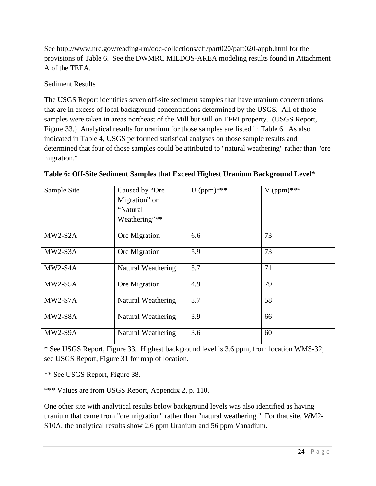See http://www.nrc.gov/reading-rm/doc-collections/cfr/part020/part020-appb.html for the provisions of Table 6. See the DWMRC MILDOS-AREA modeling results found in Attachment A of the TEEA.

#### Sediment Results

The USGS Report identifies seven off-site sediment samples that have uranium concentrations that are in excess of local background concentrations determined by the USGS. All of those samples were taken in areas northeast of the Mill but still on EFRI property. (USGS Report, Figure 33.) Analytical results for uranium for those samples are listed in Table 6. As also indicated in Table 4, USGS performed statistical analyses on those sample results and determined that four of those samples could be attributed to "natural weathering" rather than "ore migration."

| Sample Site | Caused by "Ore<br>Migration" or<br>"Natural"<br>Weathering"** | $U$ (ppm)*** | $V$ (ppm)*** |
|-------------|---------------------------------------------------------------|--------------|--------------|
| $MW2-S2A$   | Ore Migration                                                 | 6.6          | 73           |
| $MW2-S3A$   | Ore Migration                                                 | 5.9          | 73           |
| MW2-S4A     | Natural Weathering                                            | 5.7          | 71           |
| $MW2-S5A$   | Ore Migration                                                 | 4.9          | 79           |
| $MW2-S7A$   | Natural Weathering                                            | 3.7          | 58           |
| MW2-S8A     | <b>Natural Weathering</b>                                     | 3.9          | 66           |
| MW2-S9A     | Natural Weathering                                            | 3.6          | 60           |

**Table 6: Off-Site Sediment Samples that Exceed Highest Uranium Background Level\***

\* See USGS Report, Figure 33. Highest background level is 3.6 ppm, from location WMS-32; see USGS Report, Figure 31 for map of location.

\*\* See USGS Report, Figure 38.

\*\*\* Values are from USGS Report, Appendix 2, p. 110.

One other site with analytical results below background levels was also identified as having uranium that came from "ore migration" rather than "natural weathering." For that site, WM2- S10A, the analytical results show 2.6 ppm Uranium and 56 ppm Vanadium.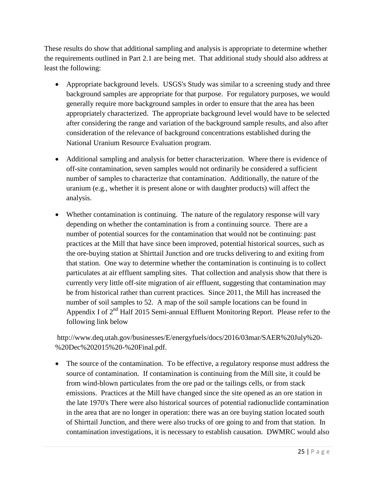These results do show that additional sampling and analysis is appropriate to determine whether the requirements outlined in Part 2.1 are being met. That additional study should also address at least the following:

- Appropriate background levels. USGS's Study was similar to a screening study and three background samples are appropriate for that purpose. For regulatory purposes, we would generally require more background samples in order to ensure that the area has been appropriately characterized. The appropriate background level would have to be selected after considering the range and variation of the background sample results, and also after consideration of the relevance of background concentrations established during the National Uranium Resource Evaluation program.
- Additional sampling and analysis for better characterization. Where there is evidence of off-site contamination, seven samples would not ordinarily be considered a sufficient number of samples to characterize that contamination. Additionally, the nature of the uranium (e.g., whether it is present alone or with daughter products) will affect the analysis.
- Whether contamination is continuing. The nature of the regulatory response will vary depending on whether the contamination is from a continuing source. There are a number of potential sources for the contamination that would not be continuing: past practices at the Mill that have since been improved, potential historical sources, such as the ore-buying station at Shirttail Junction and ore trucks delivering to and exiting from that station. One way to determine whether the contamination is continuing is to collect particulates at air effluent sampling sites. That collection and analysis show that there is currently very little off-site migration of air effluent, suggesting that contamination may be from historical rather than current practices. Since 2011, the Mill has increased the number of soil samples to 52. A map of the soil sample locations can be found in Appendix I of  $2<sup>nd</sup>$  Half 2015 Semi-annual Effluent Monitoring Report. Please refer to the following link below

http://www.deq.utah.gov/businesses/E/energyfuels/docs/2016/03mar/SAER%20July%20- %20Dec%202015%20-%20Final.pdf.

• The source of the contamination. To be effective, a regulatory response must address the source of contamination. If contamination is continuing from the Mill site, it could be from wind-blown particulates from the ore pad or the tailings cells, or from stack emissions. Practices at the Mill have changed since the site opened as an ore station in the late 1970's There were also historical sources of potential radionuclide contamination in the area that are no longer in operation: there was an ore buying station located south of Shirttail Junction, and there were also trucks of ore going to and from that station. In contamination investigations, it is necessary to establish causation. DWMRC would also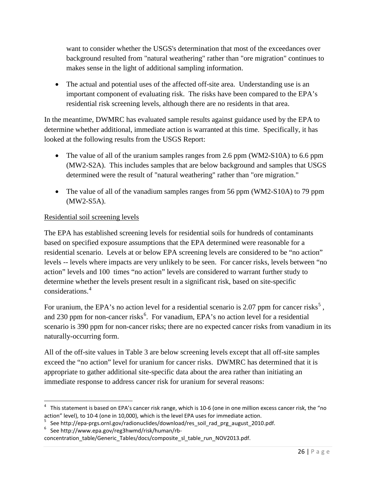want to consider whether the USGS's determination that most of the exceedances over background resulted from "natural weathering" rather than "ore migration" continues to makes sense in the light of additional sampling information.

• The actual and potential uses of the affected off-site area. Understanding use is an important component of evaluating risk. The risks have been compared to the EPA's residential risk screening levels, although there are no residents in that area.

In the meantime, DWMRC has evaluated sample results against guidance used by the EPA to determine whether additional, immediate action is warranted at this time. Specifically, it has looked at the following results from the USGS Report:

- The value of all of the uranium samples ranges from 2.6 ppm (WM2-S10A) to 6.6 ppm (MW2-S2A). This includes samples that are below background and samples that USGS determined were the result of "natural weathering" rather than "ore migration."
- The value of all of the vanadium samples ranges from 56 ppm (WM2-S10A) to 79 ppm (MW2-S5A).

#### Residential soil screening levels

The EPA has established screening levels for residential soils for hundreds of contaminants based on specified exposure assumptions that the EPA determined were reasonable for a residential scenario. Levels at or below EPA screening levels are considered to be "no action" levels -- levels where impacts are very unlikely to be seen. For cancer risks, levels between "no action" levels and 100 times "no action" levels are considered to warrant further study to determine whether the levels present result in a significant risk, based on site-specific considerations.<sup>[4](#page-25-0)</sup>

For uranium, the EPA's no action level for a residential scenario is 2.07 ppm for cancer risks<sup>[5](#page-25-1)</sup>, and 230 ppm for non-cancer risks<sup>[6](#page-25-2)</sup>. For vanadium, EPA's no action level for a residential scenario is 390 ppm for non-cancer risks; there are no expected cancer risks from vanadium in its naturally-occurring form.

All of the off-site values in Table 3 are below screening levels except that all off-site samples exceed the "no action" level for uranium for cancer risks. DWMRC has determined that it is appropriate to gather additional site-specific data about the area rather than initiating an immediate response to address cancer risk for uranium for several reasons:

<span id="page-25-0"></span> <sup>4</sup> This statement is based on EPA's cancer risk range, which is 10-6 (one in one million excess cancer risk, the "no action" level), to 10-4 (one in 10,000), which is the level EPA uses for immediate action.

<span id="page-25-1"></span>See http://epa-prgs.ornl.gov/radionuclides/download/res\_soil\_rad\_prg\_august\_2010.pdf.

<span id="page-25-2"></span> $6$  See http://www.epa.gov/reg3hwmd/risk/human/rb-

concentration\_table/Generic\_Tables/docs/composite\_sl\_table\_run\_NOV2013.pdf.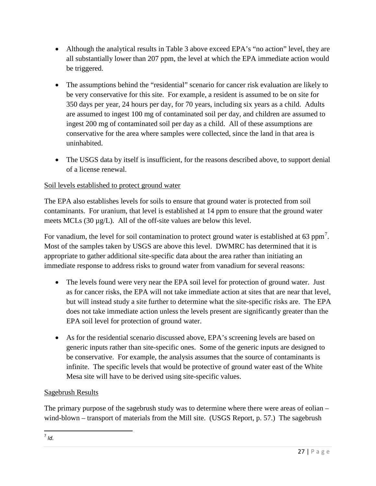- Although the analytical results in Table 3 above exceed EPA's "no action" level, they are all substantially lower than 207 ppm, the level at which the EPA immediate action would be triggered.
- The assumptions behind the "residential" scenario for cancer risk evaluation are likely to be very conservative for this site. For example, a resident is assumed to be on site for 350 days per year, 24 hours per day, for 70 years, including six years as a child. Adults are assumed to ingest 100 mg of contaminated soil per day, and children are assumed to ingest 200 mg of contaminated soil per day as a child. All of these assumptions are conservative for the area where samples were collected, since the land in that area is uninhabited.
- The USGS data by itself is insufficient, for the reasons described above, to support denial of a license renewal.

### Soil levels established to protect ground water

The EPA also establishes levels for soils to ensure that ground water is protected from soil contaminants. For uranium, that level is established at 14 ppm to ensure that the ground water meets MCLs (30 µg/L). All of the off-site values are below this level.

For vanadium, the level for soil contamination to protect ground water is established at 63 ppm<sup>[7](#page-26-0)</sup>. Most of the samples taken by USGS are above this level. DWMRC has determined that it is appropriate to gather additional site-specific data about the area rather than initiating an immediate response to address risks to ground water from vanadium for several reasons:

- The levels found were very near the EPA soil level for protection of ground water. Just as for cancer risks, the EPA will not take immediate action at sites that are near that level, but will instead study a site further to determine what the site-specific risks are. The EPA does not take immediate action unless the levels present are significantly greater than the EPA soil level for protection of ground water.
- As for the residential scenario discussed above, EPA's screening levels are based on generic inputs rather than site-specific ones. Some of the generic inputs are designed to be conservative. For example, the analysis assumes that the source of contaminants is infinite. The specific levels that would be protective of ground water east of the White Mesa site will have to be derived using site-specific values.

#### Sagebrush Results

<span id="page-26-0"></span>The primary purpose of the sagebrush study was to determine where there were areas of eolian – wind-blown – transport of materials from the Mill site. (USGS Report, p. 57.) The sagebrush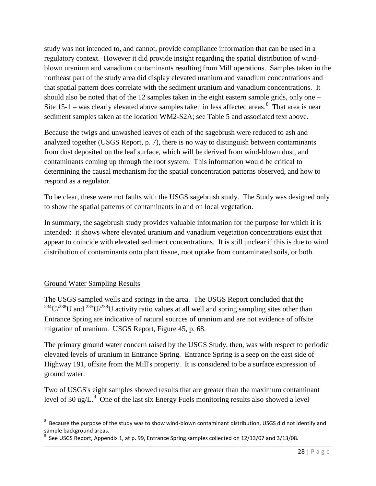study was not intended to, and cannot, provide compliance information that can be used in a regulatory context. However it did provide insight regarding the spatial distribution of windblown uranium and vanadium contaminants resulting from Mill operations. Samples taken in the northeast part of the study area did display elevated uranium and vanadium concentrations and that spatial pattern does correlate with the sediment uranium and vanadium concentrations. It should also be noted that of the 12 samples taken in the eight eastern sample grids, only one – Site  $15$ -1 – was clearly elevated above samples taken in less affected areas.<sup>[8](#page-27-0)</sup> That area is near sediment samples taken at the location WM2-S2A; see Table 5 and associated text above.

Because the twigs and unwashed leaves of each of the sagebrush were reduced to ash and analyzed together (USGS Report, p. 7), there is no way to distinguish between contaminants from dust deposited on the leaf surface, which will be derived from wind-blown dust, and contaminants coming up through the root system. This information would be critical to determining the causal mechanism for the spatial concentration patterns observed, and how to respond as a regulator.

To be clear, these were not faults with the USGS sagebrush study. The Study was designed only to show the spatial patterns of contaminants in and on local vegetation.

In summary, the sagebrush study provides valuable information for the purpose for which it is intended: it shows where elevated uranium and vanadium vegetation concentrations exist that appear to coincide with elevated sediment concentrations. It is still unclear if this is due to wind distribution of contaminants onto plant tissue, root uptake from contaminated soils, or both.

#### Ground Water Sampling Results

The USGS sampled wells and springs in the area. The USGS Report concluded that the  $^{234}U^{238}U$  and  $^{235}U^{238}U$  activity ratio values at all well and spring sampling sites other than Entrance Spring are indicative of natural sources of uranium and are not evidence of offsite migration of uranium. USGS Report, Figure 45, p. 68.

The primary ground water concern raised by the USGS Study, then, was with respect to periodic elevated levels of uranium in Entrance Spring. Entrance Spring is a seep on the east side of Highway 191, offsite from the Mill's property. It is considered to be a surface expression of ground water.

Two of USGS's eight samples showed results that are greater than the maximum contaminant level of 30 ug/L. $^9$  $^9$  One of the last six Energy Fuels monitoring results also showed a level

<span id="page-27-0"></span><sup>-&</sup>lt;br>8  $8$  Because the purpose of the study was to show wind-blown contaminant distribution, USGS did not identify and sample background areas.

<span id="page-27-1"></span> $^9$  See USGS Report, Appendix 1, at p. 99, Entrance Spring samples collected on 12/13/07 and 3/13/08.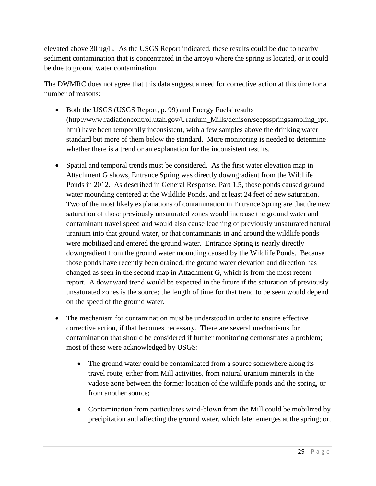elevated above 30 ug/L. As the USGS Report indicated, these results could be due to nearby sediment contamination that is concentrated in the arroyo where the spring is located, or it could be due to ground water contamination.

The DWMRC does not agree that this data suggest a need for corrective action at this time for a number of reasons:

- Both the USGS (USGS Report, p. 99) and Energy Fuels' results (http://www.radiationcontrol.utah.gov/Uranium\_Mills/denison/seepsspringsampling\_rpt. htm) have been temporally inconsistent, with a few samples above the drinking water standard but more of them below the standard. More monitoring is needed to determine whether there is a trend or an explanation for the inconsistent results.
- Spatial and temporal trends must be considered. As the first water elevation map in Attachment G shows, Entrance Spring was directly downgradient from the Wildlife Ponds in 2012. As described in General Response, Part 1.5, those ponds caused ground water mounding centered at the Wildlife Ponds, and at least 24 feet of new saturation. Two of the most likely explanations of contamination in Entrance Spring are that the new saturation of those previously unsaturated zones would increase the ground water and contaminant travel speed and would also cause leaching of previously unsaturated natural uranium into that ground water, or that contaminants in and around the wildlife ponds were mobilized and entered the ground water. Entrance Spring is nearly directly downgradient from the ground water mounding caused by the Wildlife Ponds. Because those ponds have recently been drained, the ground water elevation and direction has changed as seen in the second map in Attachment G, which is from the most recent report. A downward trend would be expected in the future if the saturation of previously unsaturated zones is the source; the length of time for that trend to be seen would depend on the speed of the ground water.
- The mechanism for contamination must be understood in order to ensure effective corrective action, if that becomes necessary. There are several mechanisms for contamination that should be considered if further monitoring demonstrates a problem; most of these were acknowledged by USGS:
	- The ground water could be contaminated from a source somewhere along its travel route, either from Mill activities, from natural uranium minerals in the vadose zone between the former location of the wildlife ponds and the spring, or from another source;
	- Contamination from particulates wind-blown from the Mill could be mobilized by precipitation and affecting the ground water, which later emerges at the spring; or,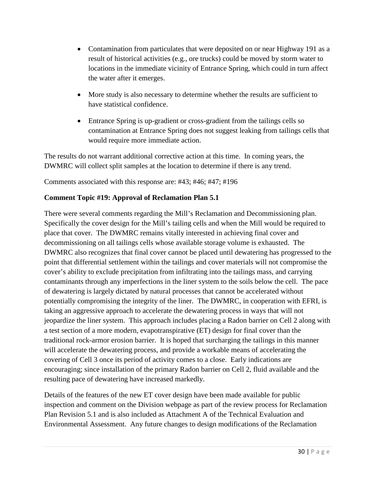- Contamination from particulates that were deposited on or near Highway 191 as a result of historical activities (e.g., ore trucks) could be moved by storm water to locations in the immediate vicinity of Entrance Spring, which could in turn affect the water after it emerges.
- More study is also necessary to determine whether the results are sufficient to have statistical confidence.
- Entrance Spring is up-gradient or cross-gradient from the tailings cells so contamination at Entrance Spring does not suggest leaking from tailings cells that would require more immediate action.

The results do not warrant additional corrective action at this time. In coming years, the DWMRC will collect split samples at the location to determine if there is any trend.

Comments associated with this response are: #43; #46; #47; #196

### **Comment Topic #19: Approval of Reclamation Plan 5.1**

There were several comments regarding the Mill's Reclamation and Decommissioning plan. Specifically the cover design for the Mill's tailing cells and when the Mill would be required to place that cover. The DWMRC remains vitally interested in achieving final cover and decommissioning on all tailings cells whose available storage volume is exhausted. The DWMRC also recognizes that final cover cannot be placed until dewatering has progressed to the point that differential settlement within the tailings and cover materials will not compromise the cover's ability to exclude precipitation from infiltrating into the tailings mass, and carrying contaminants through any imperfections in the liner system to the soils below the cell. The pace of dewatering is largely dictated by natural processes that cannot be accelerated without potentially compromising the integrity of the liner. The DWMRC, in cooperation with EFRI, is taking an aggressive approach to accelerate the dewatering process in ways that will not jeopardize the liner system. This approach includes placing a Radon barrier on Cell 2 along with a test section of a more modern, evapotranspirative (ET) design for final cover than the traditional rock-armor erosion barrier. It is hoped that surcharging the tailings in this manner will accelerate the dewatering process, and provide a workable means of accelerating the covering of Cell 3 once its period of activity comes to a close. Early indications are encouraging; since installation of the primary Radon barrier on Cell 2, fluid available and the resulting pace of dewatering have increased markedly.

Details of the features of the new ET cover design have been made available for public inspection and comment on the Division webpage as part of the review process for Reclamation Plan Revision 5.1 and is also included as Attachment A of the Technical Evaluation and Environmental Assessment. Any future changes to design modifications of the Reclamation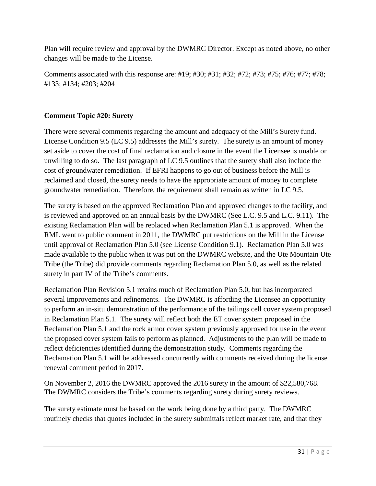Plan will require review and approval by the DWMRC Director. Except as noted above, no other changes will be made to the License.

Comments associated with this response are: #19; #30; #31; #32; #72; #73; #75; #76; #77; #78; #133; #134; #203; #204

#### **Comment Topic #20: Surety**

There were several comments regarding the amount and adequacy of the Mill's Surety fund. License Condition 9.5 (LC 9.5) addresses the Mill's surety. The surety is an amount of money set aside to cover the cost of final reclamation and closure in the event the Licensee is unable or unwilling to do so. The last paragraph of LC 9.5 outlines that the surety shall also include the cost of groundwater remediation. If EFRI happens to go out of business before the Mill is reclaimed and closed, the surety needs to have the appropriate amount of money to complete groundwater remediation. Therefore, the requirement shall remain as written in LC 9.5.

The surety is based on the approved Reclamation Plan and approved changes to the facility, and is reviewed and approved on an annual basis by the DWMRC (See L.C. 9.5 and L.C. 9.11). The existing Reclamation Plan will be replaced when Reclamation Plan 5.1 is approved. When the RML went to public comment in 2011, the DWMRC put restrictions on the Mill in the License until approval of Reclamation Plan 5.0 (see License Condition 9.1). Reclamation Plan 5.0 was made available to the public when it was put on the DWMRC website, and the Ute Mountain Ute Tribe (the Tribe) did provide comments regarding Reclamation Plan 5.0, as well as the related surety in part IV of the Tribe's comments.

Reclamation Plan Revision 5.1 retains much of Reclamation Plan 5.0, but has incorporated several improvements and refinements. The DWMRC is affording the Licensee an opportunity to perform an in-situ demonstration of the performance of the tailings cell cover system proposed in Reclamation Plan 5.1. The surety will reflect both the ET cover system proposed in the Reclamation Plan 5.1 and the rock armor cover system previously approved for use in the event the proposed cover system fails to perform as planned. Adjustments to the plan will be made to reflect deficiencies identified during the demonstration study. Comments regarding the Reclamation Plan 5.1 will be addressed concurrently with comments received during the license renewal comment period in 2017.

On November 2, 2016 the DWMRC approved the 2016 surety in the amount of \$22,580,768. The DWMRC considers the Tribe's comments regarding surety during surety reviews.

The surety estimate must be based on the work being done by a third party. The DWMRC routinely checks that quotes included in the surety submittals reflect market rate, and that they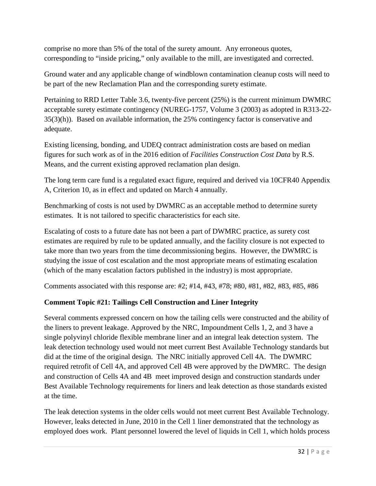comprise no more than 5% of the total of the surety amount. Any erroneous quotes, corresponding to "inside pricing," only available to the mill, are investigated and corrected.

Ground water and any applicable change of windblown contamination cleanup costs will need to be part of the new Reclamation Plan and the corresponding surety estimate.

Pertaining to RRD Letter Table 3.6, twenty-five percent (25%) is the current minimum DWMRC acceptable surety estimate contingency (NUREG-1757, Volume 3 (2003) as adopted in R313-22- 35(3)(h)). Based on available information, the 25% contingency factor is conservative and adequate.

Existing licensing, bonding, and UDEQ contract administration costs are based on median figures for such work as of in the 2016 edition of *Facilities Construction Cost Data* by R.S. Means, and the current existing approved reclamation plan design.

The long term care fund is a regulated exact figure, required and derived via 10CFR40 Appendix A, Criterion 10, as in effect and updated on March 4 annually.

Benchmarking of costs is not used by DWMRC as an acceptable method to determine surety estimates. It is not tailored to specific characteristics for each site.

Escalating of costs to a future date has not been a part of DWMRC practice, as surety cost estimates are required by rule to be updated annually, and the facility closure is not expected to take more than two years from the time decommissioning begins. However, the DWMRC is studying the issue of cost escalation and the most appropriate means of estimating escalation (which of the many escalation factors published in the industry) is most appropriate.

Comments associated with this response are: #2; #14, #43, #78; #80, #81, #82, #83, #85, #86

### **Comment Topic #21: Tailings Cell Construction and Liner Integrity**

Several comments expressed concern on how the tailing cells were constructed and the ability of the liners to prevent leakage. Approved by the NRC, Impoundment Cells 1, 2, and 3 have a single polyvinyl chloride flexible membrane liner and an integral leak detection system. The leak detection technology used would not meet current Best Available Technology standards but did at the time of the original design. The NRC initially approved Cell 4A. The DWMRC required retrofit of Cell 4A, and approved Cell 4B were approved by the DWMRC. The design and construction of Cells 4A and 4B meet improved design and construction standards under Best Available Technology requirements for liners and leak detection as those standards existed at the time.

The leak detection systems in the older cells would not meet current Best Available Technology. However, leaks detected in June, 2010 in the Cell 1 liner demonstrated that the technology as employed does work. Plant personnel lowered the level of liquids in Cell 1, which holds process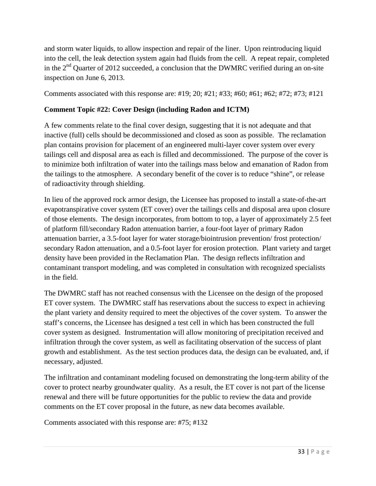and storm water liquids, to allow inspection and repair of the liner. Upon reintroducing liquid into the cell, the leak detection system again had fluids from the cell. A repeat repair, completed in the  $2<sup>nd</sup>$  Quarter of 2012 succeeded, a conclusion that the DWMRC verified during an on-site inspection on June 6, 2013.

Comments associated with this response are: #19; 20; #21; #33; #60; #61; #62; #72; #73; #121

#### **Comment Topic #22: Cover Design (including Radon and ICTM)**

A few comments relate to the final cover design, suggesting that it is not adequate and that inactive (full) cells should be decommissioned and closed as soon as possible. The reclamation plan contains provision for placement of an engineered multi-layer cover system over every tailings cell and disposal area as each is filled and decommissioned. The purpose of the cover is to minimize both infiltration of water into the tailings mass below and emanation of Radon from the tailings to the atmosphere. A secondary benefit of the cover is to reduce "shine", or release of radioactivity through shielding.

In lieu of the approved rock armor design, the Licensee has proposed to install a state-of-the-art evapotranspirative cover system (ET cover) over the tailings cells and disposal area upon closure of those elements. The design incorporates, from bottom to top, a layer of approximately 2.5 feet of platform fill/secondary Radon attenuation barrier, a four-foot layer of primary Radon attenuation barrier, a 3.5-foot layer for water storage/biointrusion prevention/ frost protection/ secondary Radon attenuation, and a 0.5-foot layer for erosion protection. Plant variety and target density have been provided in the Reclamation Plan. The design reflects infiltration and contaminant transport modeling, and was completed in consultation with recognized specialists in the field.

The DWMRC staff has not reached consensus with the Licensee on the design of the proposed ET cover system. The DWMRC staff has reservations about the success to expect in achieving the plant variety and density required to meet the objectives of the cover system. To answer the staff's concerns, the Licensee has designed a test cell in which has been constructed the full cover system as designed. Instrumentation will allow monitoring of precipitation received and infiltration through the cover system, as well as facilitating observation of the success of plant growth and establishment. As the test section produces data, the design can be evaluated, and, if necessary, adjusted.

The infiltration and contaminant modeling focused on demonstrating the long-term ability of the cover to protect nearby groundwater quality. As a result, the ET cover is not part of the license renewal and there will be future opportunities for the public to review the data and provide comments on the ET cover proposal in the future, as new data becomes available.

Comments associated with this response are: #75; #132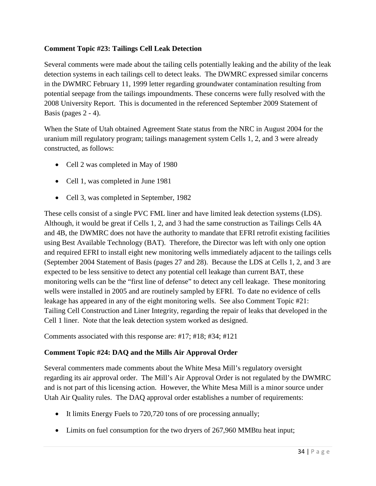#### **Comment Topic #23: Tailings Cell Leak Detection**

Several comments were made about the tailing cells potentially leaking and the ability of the leak detection systems in each tailings cell to detect leaks. The DWMRC expressed similar concerns in the DWMRC February 11, 1999 letter regarding groundwater contamination resulting from potential seepage from the tailings impoundments. These concerns were fully resolved with the 2008 University Report. This is documented in the referenced September 2009 Statement of Basis (pages 2 - 4).

When the State of Utah obtained Agreement State status from the NRC in August 2004 for the uranium mill regulatory program; tailings management system Cells 1, 2, and 3 were already constructed, as follows:

- Cell 2 was completed in May of 1980
- Cell 1, was completed in June 1981
- Cell 3, was completed in September, 1982

These cells consist of a single PVC FML liner and have limited leak detection systems (LDS). Although, it would be great if Cells 1, 2, and 3 had the same construction as Tailings Cells 4A and 4B, the DWMRC does not have the authority to mandate that EFRI retrofit existing facilities using Best Available Technology (BAT). Therefore, the Director was left with only one option and required EFRI to install eight new monitoring wells immediately adjacent to the tailings cells (September 2004 Statement of Basis (pages 27 and 28). Because the LDS at Cells 1, 2, and 3 are expected to be less sensitive to detect any potential cell leakage than current BAT, these monitoring wells can be the "first line of defense" to detect any cell leakage. These monitoring wells were installed in 2005 and are routinely sampled by EFRI. To date no evidence of cells leakage has appeared in any of the eight monitoring wells. See also Comment Topic #21: Tailing Cell Construction and Liner Integrity, regarding the repair of leaks that developed in the Cell 1 liner. Note that the leak detection system worked as designed.

Comments associated with this response are: #17; #18; #34; #121

#### **Comment Topic #24: DAQ and the Mills Air Approval Order**

Several commenters made comments about the White Mesa Mill's regulatory oversight regarding its air approval order. The Mill's Air Approval Order is not regulated by the DWMRC and is not part of this licensing action. However, the White Mesa Mill is a minor source under Utah Air Quality rules. The DAQ approval order establishes a number of requirements:

- It limits Energy Fuels to 720,720 tons of ore processing annually;
- Limits on fuel consumption for the two dryers of 267,960 MMBtu heat input;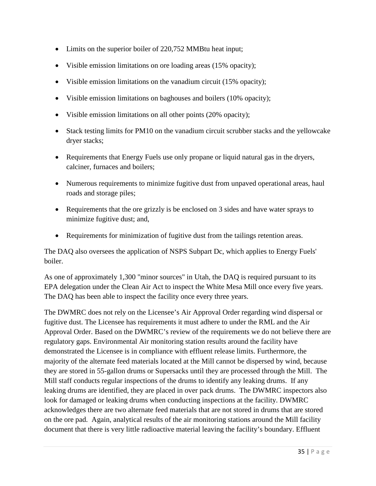- Limits on the superior boiler of 220,752 MMBtu heat input;
- Visible emission limitations on ore loading areas (15% opacity);
- Visible emission limitations on the vanadium circuit (15% opacity);
- Visible emission limitations on baghouses and boilers (10% opacity);
- Visible emission limitations on all other points (20% opacity);
- Stack testing limits for PM10 on the vanadium circuit scrubber stacks and the yellowcake dryer stacks;
- Requirements that Energy Fuels use only propane or liquid natural gas in the dryers, calciner, furnaces and boilers;
- Numerous requirements to minimize fugitive dust from unpaved operational areas, haul roads and storage piles;
- Requirements that the ore grizzly is be enclosed on 3 sides and have water sprays to minimize fugitive dust; and,
- Requirements for minimization of fugitive dust from the tailings retention areas.

The DAQ also oversees the application of NSPS Subpart Dc, which applies to Energy Fuels' boiler.

As one of approximately 1,300 "minor sources" in Utah, the DAQ is required pursuant to its EPA delegation under the Clean Air Act to inspect the White Mesa Mill once every five years. The DAQ has been able to inspect the facility once every three years.

The DWMRC does not rely on the Licensee's Air Approval Order regarding wind dispersal or fugitive dust. The Licensee has requirements it must adhere to under the RML and the Air Approval Order. Based on the DWMRC's review of the requirements we do not believe there are regulatory gaps. Environmental Air monitoring station results around the facility have demonstrated the Licensee is in compliance with effluent release limits. Furthermore, the majority of the alternate feed materials located at the Mill cannot be dispersed by wind, because they are stored in 55-gallon drums or Supersacks until they are processed through the Mill. The Mill staff conducts regular inspections of the drums to identify any leaking drums. If any leaking drums are identified, they are placed in over pack drums. The DWMRC inspectors also look for damaged or leaking drums when conducting inspections at the facility. DWMRC acknowledges there are two alternate feed materials that are not stored in drums that are stored on the ore pad. Again, analytical results of the air monitoring stations around the Mill facility document that there is very little radioactive material leaving the facility's boundary. Effluent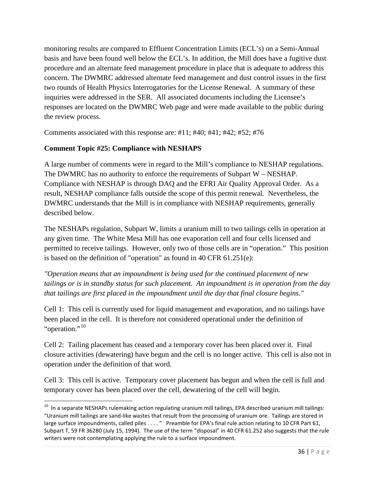monitoring results are compared to Effluent Concentration Limits (ECL's) on a Semi-Annual basis and have been found well below the ECL's. In addition, the Mill does have a fugitive dust procedure and an alternate feed management procedure in place that is adequate to address this concern. The DWMRC addressed alternate feed management and dust control issues in the first two rounds of Health Physics Interrogatories for the License Renewal. A summary of these inquiries were addressed in the SER. All associated documents including the Licensee's responses are located on the DWMRC Web page and were made available to the public during the review process.

Comments associated with this response are: #11; #40; #41; #42; #52; #76

### **Comment Topic #25: Compliance with NESHAPS**

A large number of comments were in regard to the Mill's compliance to NESHAP regulations. The DWMRC has no authority to enforce the requirements of Subpart W – NESHAP. Compliance with NESHAP is through DAQ and the EFRI Air Quality Approval Order. As a result, NESHAP compliance falls outside the scope of this permit renewal. Nevertheless, the DWMRC understands that the Mill is in compliance with NESHAP requirements, generally described below.

The NESHAPs regulation, Subpart W, limits a uranium mill to two tailings cells in operation at any given time. The White Mesa Mill has one evaporation cell and four cells licensed and permitted to receive tailings. However, only two of those cells are in "operation." This position is based on the definition of "operation" as found in 40 CFR 61.251(e):

*"Operation means that an impoundment is being used for the continued placement of new tailings or is in standby status for such placement. An impoundment is in operation from the day that tailings are first placed in the impoundment until the day that final closure begins."*

Cell 1: This cell is currently used for liquid management and evaporation, and no tailings have been placed in the cell. It is therefore not considered operational under the definition of "operation."<sup>[10](#page-35-0)</sup>

Cell 2: Tailing placement has ceased and a temporary cover has been placed over it. Final closure activities (dewatering) have begun and the cell is no longer active. This cell is also not in operation under the definition of that word.

Cell 3: This cell is active. Temporary cover placement has begun and when the cell is full and temporary cover has been placed over the cell, dewatering of the cell will begin.

<span id="page-35-0"></span> $10$  In a separate NESHAPs rulemaking action regulating uranium mill tailings, EPA described uranium mill tailings: "Uranium mill tailings are sand-like wastes that result from the processing of uranium ore. Tailings are stored in large surface impoundments, called piles . . . . " Preamble for EPA's final rule action relating to 10 CFR Part 61, Subpart T, 59 FR 36280 (July 15, 1994). The use of the term "disposal" in 40 CFR 61.252 also suggests that the rule writers were not contemplating applying the rule to a surface impoundment.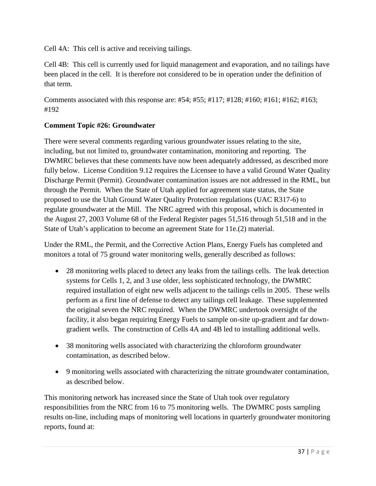Cell 4A: This cell is active and receiving tailings.

Cell 4B: This cell is currently used for liquid management and evaporation, and no tailings have been placed in the cell. It is therefore not considered to be in operation under the definition of that term.

Comments associated with this response are: #54; #55; #117; #128; #160; #161; #162; #163; #192

#### **Comment Topic #26: Groundwater**

There were several comments regarding various groundwater issues relating to the site, including, but not limited to, groundwater contamination, monitoring and reporting. The DWMRC believes that these comments have now been adequately addressed, as described more fully below. License Condition 9.12 requires the Licensee to have a valid Ground Water Quality Discharge Permit (Permit). Groundwater contamination issues are not addressed in the RML, but through the Permit. When the State of Utah applied for agreement state status, the State proposed to use the Utah Ground Water Quality Protection regulations (UAC R317-6) to regulate groundwater at the Mill. The NRC agreed with this proposal, which is documented in the August 27, 2003 Volume 68 of the Federal Register pages 51,516 through 51,518 and in the State of Utah's application to become an agreement State for 11e.(2) material.

Under the RML, the Permit, and the Corrective Action Plans, Energy Fuels has completed and monitors a total of 75 ground water monitoring wells, generally described as follows:

- 28 monitoring wells placed to detect any leaks from the tailings cells. The leak detection systems for Cells 1, 2, and 3 use older, less sophisticated technology, the DWMRC required installation of eight new wells adjacent to the tailings cells in 2005. These wells perform as a first line of defense to detect any tailings cell leakage. These supplemented the original seven the NRC required. When the DWMRC undertook oversight of the facility, it also began requiring Energy Fuels to sample on-site up-gradient and far downgradient wells. The construction of Cells 4A and 4B led to installing additional wells.
- 38 monitoring wells associated with characterizing the chloroform groundwater contamination, as described below.
- 9 monitoring wells associated with characterizing the nitrate groundwater contamination, as described below.

This monitoring network has increased since the State of Utah took over regulatory responsibilities from the NRC from 16 to 75 monitoring wells. The DWMRC posts sampling results on-line, including maps of monitoring well locations in quarterly groundwater monitoring reports, found at: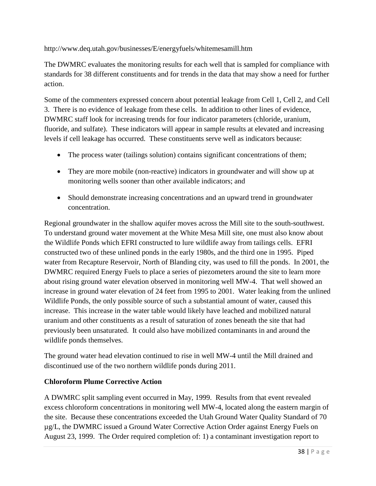http://www.deq.utah.gov/businesses/E/energyfuels/whitemesamill.htm

The DWMRC evaluates the monitoring results for each well that is sampled for compliance with standards for 38 different constituents and for trends in the data that may show a need for further action.

Some of the commenters expressed concern about potential leakage from Cell 1, Cell 2, and Cell 3. There is no evidence of leakage from these cells. In addition to other lines of evidence, DWMRC staff look for increasing trends for four indicator parameters (chloride, uranium, fluoride, and sulfate). These indicators will appear in sample results at elevated and increasing levels if cell leakage has occurred. These constituents serve well as indicators because:

- The process water (tailings solution) contains significant concentrations of them;
- They are more mobile (non-reactive) indicators in groundwater and will show up at monitoring wells sooner than other available indicators; and
- Should demonstrate increasing concentrations and an upward trend in groundwater concentration.

Regional groundwater in the shallow aquifer moves across the Mill site to the south-southwest. To understand ground water movement at the White Mesa Mill site, one must also know about the Wildlife Ponds which EFRI constructed to lure wildlife away from tailings cells. EFRI constructed two of these unlined ponds in the early 1980s, and the third one in 1995. Piped water from Recapture Reservoir, North of Blanding city, was used to fill the ponds. In 2001, the DWMRC required Energy Fuels to place a series of piezometers around the site to learn more about rising ground water elevation observed in monitoring well MW-4. That well showed an increase in ground water elevation of 24 feet from 1995 to 2001. Water leaking from the unlined Wildlife Ponds, the only possible source of such a substantial amount of water, caused this increase. This increase in the water table would likely have leached and mobilized natural uranium and other constituents as a result of saturation of zones beneath the site that had previously been unsaturated. It could also have mobilized contaminants in and around the wildlife ponds themselves.

The ground water head elevation continued to rise in well MW-4 until the Mill drained and discontinued use of the two northern wildlife ponds during 2011.

### **Chloroform Plume Corrective Action**

A DWMRC split sampling event occurred in May, 1999. Results from that event revealed excess chloroform concentrations in monitoring well MW-4, located along the eastern margin of the site. Because these concentrations exceeded the Utah Ground Water Quality Standard of 70 µg/L, the DWMRC issued a Ground Water Corrective Action Order against Energy Fuels on August 23, 1999. The Order required completion of: 1) a contaminant investigation report to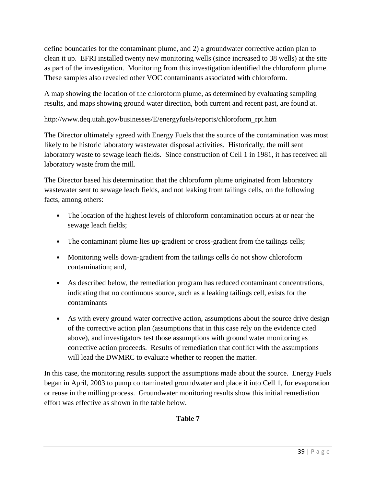define boundaries for the contaminant plume, and 2) a groundwater corrective action plan to clean it up. EFRI installed twenty new monitoring wells (since increased to 38 wells) at the site as part of the investigation. Monitoring from this investigation identified the chloroform plume. These samples also revealed other VOC contaminants associated with chloroform.

A map showing the location of the chloroform plume, as determined by evaluating sampling results, and maps showing ground water direction, both current and recent past, are found at.

http://www.deq.utah.gov/businesses/E/energyfuels/reports/chloroform\_rpt.htm

The Director ultimately agreed with Energy Fuels that the source of the contamination was most likely to be historic laboratory wastewater disposal activities. Historically, the mill sent laboratory waste to sewage leach fields. Since construction of Cell 1 in 1981, it has received all laboratory waste from the mill.

The Director based his determination that the chloroform plume originated from laboratory wastewater sent to sewage leach fields, and not leaking from tailings cells, on the following facts, among others:

- The location of the highest levels of chloroform contamination occurs at or near the sewage leach fields;
- The contaminant plume lies up-gradient or cross-gradient from the tailings cells;
- Monitoring wells down-gradient from the tailings cells do not show chloroform contamination; and,
- As described below, the remediation program has reduced contaminant concentrations, indicating that no continuous source, such as a leaking tailings cell, exists for the contaminants
- As with every ground water corrective action, assumptions about the source drive design of the corrective action plan (assumptions that in this case rely on the evidence cited above), and investigators test those assumptions with ground water monitoring as corrective action proceeds. Results of remediation that conflict with the assumptions will lead the DWMRC to evaluate whether to reopen the matter.

In this case, the monitoring results support the assumptions made about the source. Energy Fuels began in April, 2003 to pump contaminated groundwater and place it into Cell 1, for evaporation or reuse in the milling process. Groundwater monitoring results show this initial remediation effort was effective as shown in the table below.

**Table 7**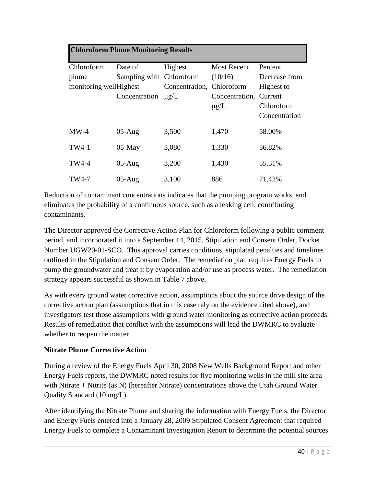### **Chloroform Plume Monitoring Results**

| Chloroform             | Date of                  | Highest                   | <b>Most Recent</b>     | Percent       |
|------------------------|--------------------------|---------------------------|------------------------|---------------|
| plume                  | Sampling with Chloroform |                           | (10/16)                | Decrease from |
| monitoring wellHighest |                          | Concentration, Chloroform |                        | Highest to    |
|                        | Concentration            | $\mu$ g/L                 | Concentration, Current |               |
|                        |                          |                           | $\mu$ g/L              | Chloroform    |
|                        |                          |                           |                        | Concentration |
| $MW-4$                 | $05-Aug$                 | 3,500                     | 1,470                  | 58.00%        |
| TW4-1                  | $05$ -May                | 3,080                     | 1,330                  | 56.82%        |
| <b>TW4-4</b>           | $05-Aug$                 | 3,200                     | 1,430                  | 55.31%        |
| TW4-7                  | $05-Aug$                 | 3,100                     | 886                    | 71.42%        |

Reduction of contaminant concentrations indicates that the pumping program works, and eliminates the probability of a continuous source, such as a leaking cell, contributing contaminants.

The Director approved the Corrective Action Plan for Chloroform following a public comment period, and incorporated it into a September 14, 2015, Stipulation and Consent Order, Docket Number UGW20-01-SCO. This approval carries conditions, stipulated penalties and timelines outlined in the Stipulation and Consent Order. The remediation plan requires Energy Fuels to pump the groundwater and treat it by evaporation and/or use as process water. The remediation strategy appears successful as shown in Table 7 above.

As with every ground water corrective action, assumptions about the source drive design of the corrective action plan (assumptions that in this case rely on the evidence cited above), and investigators test those assumptions with ground water monitoring as corrective action proceeds. Results of remediation that conflict with the assumptions will lead the DWMRC to evaluate whether to reopen the matter.

#### **Nitrate Plume Corrective Action**

During a review of the Energy Fuels April 30, 2008 New Wells Background Report and other Energy Fuels reports, the DWMRC noted results for five monitoring wells in the mill site area with Nitrate + Nitrite (as N) (hereafter Nitrate) concentrations above the Utah Ground Water Quality Standard (10 mg/L).

After identifying the Nitrate Plume and sharing the information with Energy Fuels, the Director and Energy Fuels entered into a January 28, 2009 Stipulated Consent Agreement that required Energy Fuels to complete a Contaminant Investigation Report to determine the potential sources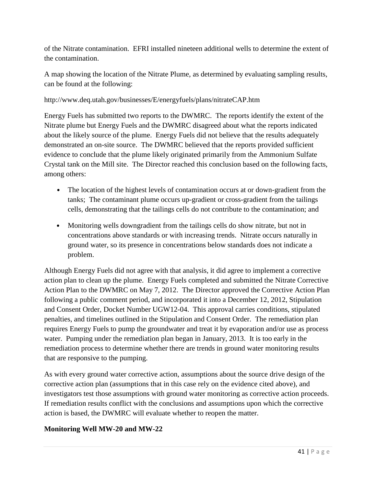of the Nitrate contamination. EFRI installed nineteen additional wells to determine the extent of the contamination.

A map showing the location of the Nitrate Plume, as determined by evaluating sampling results, can be found at the following:

### http://www.deq.utah.gov/businesses/E/energyfuels/plans/nitrateCAP.htm

Energy Fuels has submitted two reports to the DWMRC. The reports identify the extent of the Nitrate plume but Energy Fuels and the DWMRC disagreed about what the reports indicated about the likely source of the plume. Energy Fuels did not believe that the results adequately demonstrated an on-site source. The DWMRC believed that the reports provided sufficient evidence to conclude that the plume likely originated primarily from the Ammonium Sulfate Crystal tank on the Mill site. The Director reached this conclusion based on the following facts, among others:

- The location of the highest levels of contamination occurs at or down-gradient from the tanks; The contaminant plume occurs up-gradient or cross-gradient from the tailings cells, demonstrating that the tailings cells do not contribute to the contamination; and
- Monitoring wells downgradient from the tailings cells do show nitrate, but not in concentrations above standards or with increasing trends. Nitrate occurs naturally in ground water, so its presence in concentrations below standards does not indicate a problem.

Although Energy Fuels did not agree with that analysis, it did agree to implement a corrective action plan to clean up the plume. Energy Fuels completed and submitted the Nitrate Corrective Action Plan to the DWMRC on May 7, 2012. The Director approved the Corrective Action Plan following a public comment period, and incorporated it into a December 12, 2012, Stipulation and Consent Order, Docket Number UGW12-04. This approval carries conditions, stipulated penalties, and timelines outlined in the Stipulation and Consent Order. The remediation plan requires Energy Fuels to pump the groundwater and treat it by evaporation and/or use as process water. Pumping under the remediation plan began in January, 2013. It is too early in the remediation process to determine whether there are trends in ground water monitoring results that are responsive to the pumping.

As with every ground water corrective action, assumptions about the source drive design of the corrective action plan (assumptions that in this case rely on the evidence cited above), and investigators test those assumptions with ground water monitoring as corrective action proceeds. If remediation results conflict with the conclusions and assumptions upon which the corrective action is based, the DWMRC will evaluate whether to reopen the matter.

### **Monitoring Well MW-20 and MW-22**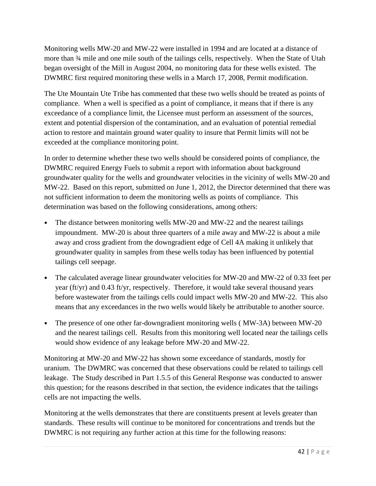Monitoring wells MW-20 and MW-22 were installed in 1994 and are located at a distance of more than ¾ mile and one mile south of the tailings cells, respectively. When the State of Utah began oversight of the Mill in August 2004, no monitoring data for these wells existed. The DWMRC first required monitoring these wells in a March 17, 2008, Permit modification.

The Ute Mountain Ute Tribe has commented that these two wells should be treated as points of compliance. When a well is specified as a point of compliance, it means that if there is any exceedance of a compliance limit, the Licensee must perform an assessment of the sources, extent and potential dispersion of the contamination, and an evaluation of potential remedial action to restore and maintain ground water quality to insure that Permit limits will not be exceeded at the compliance monitoring point.

In order to determine whether these two wells should be considered points of compliance, the DWMRC required Energy Fuels to submit a report with information about background groundwater quality for the wells and groundwater velocities in the vicinity of wells MW-20 and MW-22. Based on this report, submitted on June 1, 2012, the Director determined that there was not sufficient information to deem the monitoring wells as points of compliance. This determination was based on the following considerations, among others:

- The distance between monitoring wells MW-20 and MW-22 and the nearest tailings impoundment. MW-20 is about three quarters of a mile away and MW-22 is about a mile away and cross gradient from the downgradient edge of Cell 4A making it unlikely that groundwater quality in samples from these wells today has been influenced by potential tailings cell seepage.
- The calculated average linear groundwater velocities for MW-20 and MW-22 of 0.33 feet per year (ft/yr) and 0.43 ft/yr, respectively. Therefore, it would take several thousand years before wastewater from the tailings cells could impact wells MW-20 and MW-22. This also means that any exceedances in the two wells would likely be attributable to another source.
- The presence of one other far-downgradient monitoring wells (MW-3A) between MW-20 and the nearest tailings cell. Results from this monitoring well located near the tailings cells would show evidence of any leakage before MW-20 and MW-22.

Monitoring at MW-20 and MW-22 has shown some exceedance of standards, mostly for uranium. The DWMRC was concerned that these observations could be related to tailings cell leakage. The Study described in Part 1.5.5 of this General Response was conducted to answer this question; for the reasons described in that section, the evidence indicates that the tailings cells are not impacting the wells.

Monitoring at the wells demonstrates that there are constituents present at levels greater than standards. These results will continue to be monitored for concentrations and trends but the DWMRC is not requiring any further action at this time for the following reasons: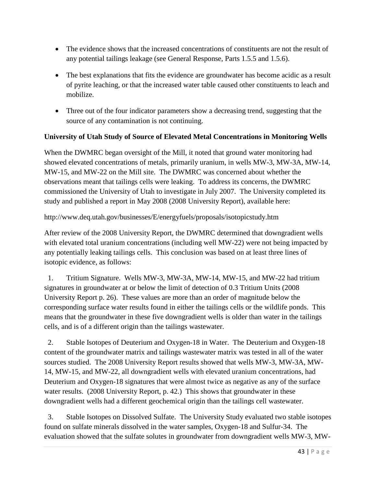- The evidence shows that the increased concentrations of constituents are not the result of any potential tailings leakage (see General Response, Parts 1.5.5 and 1.5.6).
- The best explanations that fits the evidence are groundwater has become acidic as a result of pyrite leaching, or that the increased water table caused other constituents to leach and mobilize.
- Three out of the four indicator parameters show a decreasing trend, suggesting that the source of any contamination is not continuing.

### **University of Utah Study of Source of Elevated Metal Concentrations in Monitoring Wells**

When the DWMRC began oversight of the Mill, it noted that ground water monitoring had showed elevated concentrations of metals, primarily uranium, in wells MW-3, MW-3A, MW-14, MW-15, and MW-22 on the Mill site. The DWMRC was concerned about whether the observations meant that tailings cells were leaking. To address its concerns, the DWMRC commissioned the University of Utah to investigate in July 2007. The University completed its study and published a report in May 2008 (2008 University Report), available here:

http://www.deq.utah.gov/businesses/E/energyfuels/proposals/isotopicstudy.htm

After review of the 2008 University Report, the DWMRC determined that downgradient wells with elevated total uranium concentrations (including well MW-22) were not being impacted by any potentially leaking tailings cells. This conclusion was based on at least three lines of isotopic evidence, as follows:

 1. Tritium Signature. Wells MW-3, MW-3A, MW-14, MW-15, and MW-22 had tritium signatures in groundwater at or below the limit of detection of 0.3 Tritium Units (2008 University Report p. 26). These values are more than an order of magnitude below the corresponding surface water results found in either the tailings cells or the wildlife ponds. This means that the groundwater in these five downgradient wells is older than water in the tailings cells, and is of a different origin than the tailings wastewater.

 2. Stable Isotopes of Deuterium and Oxygen-18 in Water. The Deuterium and Oxygen-18 content of the groundwater matrix and tailings wastewater matrix was tested in all of the water sources studied. The 2008 University Report results showed that wells MW-3, MW-3A, MW-14, MW-15, and MW-22, all downgradient wells with elevated uranium concentrations, had Deuterium and Oxygen-18 signatures that were almost twice as negative as any of the surface water results. (2008 University Report, p. 42.) This shows that groundwater in these downgradient wells had a different geochemical origin than the tailings cell wastewater.

 3. Stable Isotopes on Dissolved Sulfate. The University Study evaluated two stable isotopes found on sulfate minerals dissolved in the water samples, Oxygen-18 and Sulfur-34. The evaluation showed that the sulfate solutes in groundwater from downgradient wells MW-3, MW-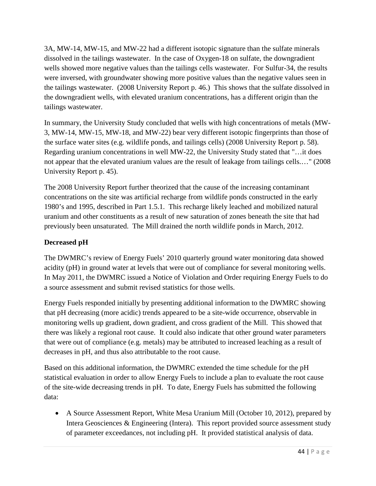3A, MW-14, MW-15, and MW-22 had a different isotopic signature than the sulfate minerals dissolved in the tailings wastewater. In the case of Oxygen-18 on sulfate, the downgradient wells showed more negative values than the tailings cells wastewater. For Sulfur-34, the results were inversed, with groundwater showing more positive values than the negative values seen in the tailings wastewater. (2008 University Report p. 46.) This shows that the sulfate dissolved in the downgradient wells, with elevated uranium concentrations, has a different origin than the tailings wastewater.

In summary, the University Study concluded that wells with high concentrations of metals (MW-3, MW-14, MW-15, MW-18, and MW-22) bear very different isotopic fingerprints than those of the surface water sites (e.g. wildlife ponds, and tailings cells) (2008 University Report p. 58). Regarding uranium concentrations in well MW-22, the University Study stated that "…it does not appear that the elevated uranium values are the result of leakage from tailings cells.…" (2008 University Report p. 45).

The 2008 University Report further theorized that the cause of the increasing contaminant concentrations on the site was artificial recharge from wildlife ponds constructed in the early 1980's and 1995, described in Part 1.5.1. This recharge likely leached and mobilized natural uranium and other constituents as a result of new saturation of zones beneath the site that had previously been unsaturated. The Mill drained the north wildlife ponds in March, 2012.

### **Decreased pH**

The DWMRC's review of Energy Fuels' 2010 quarterly ground water monitoring data showed acidity (pH) in ground water at levels that were out of compliance for several monitoring wells. In May 2011, the DWMRC issued a Notice of Violation and Order requiring Energy Fuels to do a source assessment and submit revised statistics for those wells.

Energy Fuels responded initially by presenting additional information to the DWMRC showing that pH decreasing (more acidic) trends appeared to be a site-wide occurrence, observable in monitoring wells up gradient, down gradient, and cross gradient of the Mill. This showed that there was likely a regional root cause. It could also indicate that other ground water parameters that were out of compliance (e.g. metals) may be attributed to increased leaching as a result of decreases in pH, and thus also attributable to the root cause.

Based on this additional information, the DWMRC extended the time schedule for the pH statistical evaluation in order to allow Energy Fuels to include a plan to evaluate the root cause of the site-wide decreasing trends in pH. To date, Energy Fuels has submitted the following data:

• A Source Assessment Report, White Mesa Uranium Mill (October 10, 2012), prepared by Intera Geosciences & Engineering (Intera). This report provided source assessment study of parameter exceedances, not including pH. It provided statistical analysis of data.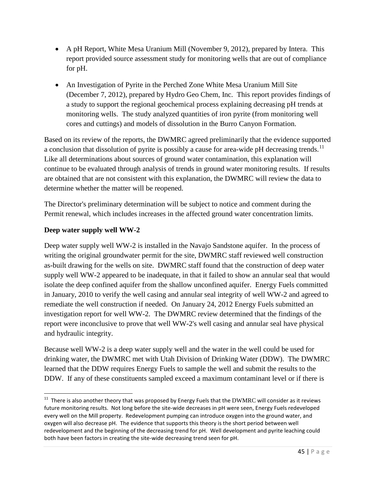- A pH Report, White Mesa Uranium Mill (November 9, 2012), prepared by Intera. This report provided source assessment study for monitoring wells that are out of compliance for pH.
- An Investigation of Pyrite in the Perched Zone White Mesa Uranium Mill Site (December 7, 2012), prepared by Hydro Geo Chem, Inc. This report provides findings of a study to support the regional geochemical process explaining decreasing pH trends at monitoring wells. The study analyzed quantities of iron pyrite (from monitoring well cores and cuttings) and models of dissolution in the Burro Canyon Formation.

Based on its review of the reports, the DWMRC agreed preliminarily that the evidence supported a conclusion that dissolution of pyrite is possibly a cause for area-wide pH decreasing trends.<sup>[11](#page-44-0)</sup> Like all determinations about sources of ground water contamination, this explanation will continue to be evaluated through analysis of trends in ground water monitoring results. If results are obtained that are not consistent with this explanation, the DWMRC will review the data to determine whether the matter will be reopened.

The Director's preliminary determination will be subject to notice and comment during the Permit renewal, which includes increases in the affected ground water concentration limits.

### **Deep water supply well WW-2**

Deep water supply well WW-2 is installed in the Navajo Sandstone aquifer. In the process of writing the original groundwater permit for the site, DWMRC staff reviewed well construction as-built drawing for the wells on site. DWMRC staff found that the construction of deep water supply well WW-2 appeared to be inadequate, in that it failed to show an annular seal that would isolate the deep confined aquifer from the shallow unconfined aquifer. Energy Fuels committed in January, 2010 to verify the well casing and annular seal integrity of well WW-2 and agreed to remediate the well construction if needed. On January 24, 2012 Energy Fuels submitted an investigation report for well WW-2. The DWMRC review determined that the findings of the report were inconclusive to prove that well WW-2's well casing and annular seal have physical and hydraulic integrity.

Because well WW-2 is a deep water supply well and the water in the well could be used for drinking water, the DWMRC met with Utah Division of Drinking Water (DDW). The DWMRC learned that the DDW requires Energy Fuels to sample the well and submit the results to the DDW. If any of these constituents sampled exceed a maximum contaminant level or if there is

<span id="page-44-0"></span> $11$  There is also another theory that was proposed by Energy Fuels that the DWMRC will consider as it reviews future monitoring results. Not long before the site-wide decreases in pH were seen, Energy Fuels redeveloped every well on the Mill property. Redevelopment pumping can introduce oxygen into the ground water, and oxygen will also decrease pH. The evidence that supports this theory is the short period between well redevelopment and the beginning of the decreasing trend for pH. Well development and pyrite leaching could both have been factors in creating the site-wide decreasing trend seen for pH.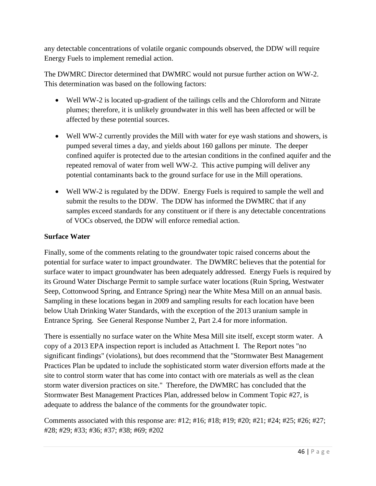any detectable concentrations of volatile organic compounds observed, the DDW will require Energy Fuels to implement remedial action.

The DWMRC Director determined that DWMRC would not pursue further action on WW-2. This determination was based on the following factors:

- Well WW-2 is located up-gradient of the tailings cells and the Chloroform and Nitrate plumes; therefore, it is unlikely groundwater in this well has been affected or will be affected by these potential sources.
- Well WW-2 currently provides the Mill with water for eye wash stations and showers, is pumped several times a day, and yields about 160 gallons per minute. The deeper confined aquifer is protected due to the artesian conditions in the confined aquifer and the repeated removal of water from well WW-2. This active pumping will deliver any potential contaminants back to the ground surface for use in the Mill operations.
- Well WW-2 is regulated by the DDW. Energy Fuels is required to sample the well and submit the results to the DDW. The DDW has informed the DWMRC that if any samples exceed standards for any constituent or if there is any detectable concentrations of VOCs observed, the DDW will enforce remedial action.

#### **Surface Water**

Finally, some of the comments relating to the groundwater topic raised concerns about the potential for surface water to impact groundwater. The DWMRC believes that the potential for surface water to impact groundwater has been adequately addressed. Energy Fuels is required by its Ground Water Discharge Permit to sample surface water locations (Ruin Spring, Westwater Seep, Cottonwood Spring, and Entrance Spring) near the White Mesa Mill on an annual basis. Sampling in these locations began in 2009 and sampling results for each location have been below Utah Drinking Water Standards, with the exception of the 2013 uranium sample in Entrance Spring. See General Response Number 2, Part 2.4 for more information.

There is essentially no surface water on the White Mesa Mill site itself, except storm water. A copy of a 2013 EPA inspection report is included as Attachment I. The Report notes "no significant findings" (violations), but does recommend that the "Stormwater Best Management Practices Plan be updated to include the sophisticated storm water diversion efforts made at the site to control storm water that has come into contact with ore materials as well as the clean storm water diversion practices on site." Therefore, the DWMRC has concluded that the Stormwater Best Management Practices Plan, addressed below in Comment Topic #27, is adequate to address the balance of the comments for the groundwater topic.

Comments associated with this response are: #12; #16; #18; #19; #20; #21; #24; #25; #26; #27; #28; #29; #33; #36; #37; #38; #69; #202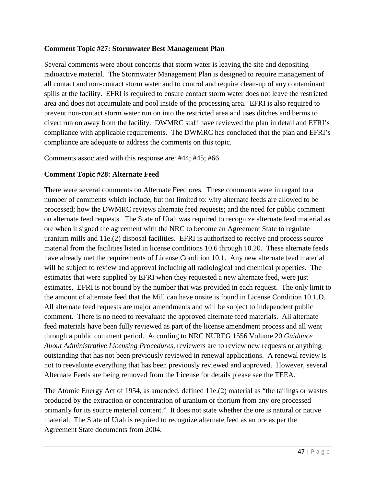#### **Comment Topic #27: Stormwater Best Management Plan**

Several comments were about concerns that storm water is leaving the site and depositing radioactive material. The Stormwater Management Plan is designed to require management of all contact and non-contact storm water and to control and require clean-up of any contaminant spills at the facility. EFRI is required to ensure contact storm water does not leave the restricted area and does not accumulate and pool inside of the processing area. EFRI is also required to prevent non-contact storm water run on into the restricted area and uses ditches and berms to divert run on away from the facility. DWMRC staff have reviewed the plan in detail and EFRI's compliance with applicable requirements. The DWMRC has concluded that the plan and EFRI's compliance are adequate to address the comments on this topic.

Comments associated with this response are: #44; #45; #66

#### **Comment Topic #28: Alternate Feed**

There were several comments on Alternate Feed ores. These comments were in regard to a number of comments which include, but not limited to: why alternate feeds are allowed to be processed; how the DWMRC reviews alternate feed requests; and the need for public comment on alternate feed requests. The State of Utah was required to recognize alternate feed material as ore when it signed the agreement with the NRC to become an Agreement State to regulate uranium mills and 11e.(2) disposal facilities. EFRI is authorized to receive and process source material from the facilities listed in license conditions 10.6 through 10.20. These alternate feeds have already met the requirements of License Condition 10.1. Any new alternate feed material will be subject to review and approval including all radiological and chemical properties. The estimates that were supplied by EFRI when they requested a new alternate feed, were just estimates. EFRI is not bound by the number that was provided in each request. The only limit to the amount of alternate feed that the Mill can have onsite is found in License Condition 10.1.D. All alternate feed requests are major amendments and will be subject to independent public comment. There is no need to reevaluate the approved alternate feed materials. All alternate feed materials have been fully reviewed as part of the license amendment process and all went through a public comment period. According to NRC NUREG 1556 Volume 20 *Guidance About Administrative Licensing Procedures*, reviewers are to review new requests or anything outstanding that has not been previously reviewed in renewal applications. A renewal review is not to reevaluate everything that has been previously reviewed and approved. However, several Alternate Feeds are being removed from the License for details please see the TEEA.

The Atomic Energy Act of 1954, as amended, defined 11e.(2) material as "the tailings or wastes produced by the extraction or concentration of uranium or thorium from any ore processed primarily for its source material content." It does not state whether the ore is natural or native material. The State of Utah is required to recognize alternate feed as an ore as per the Agreement State documents from 2004.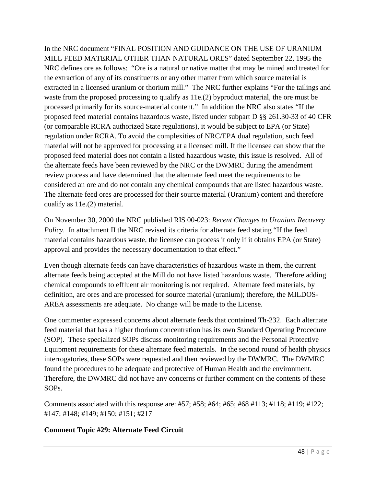In the NRC document "FINAL POSITION AND GUIDANCE ON THE USE OF URANIUM MILL FEED MATERIAL OTHER THAN NATURAL ORES" dated September 22, 1995 the NRC defines ore as follows: "Ore is a natural or native matter that may be mined and treated for the extraction of any of its constituents or any other matter from which source material is extracted in a licensed uranium or thorium mill." The NRC further explains "For the tailings and waste from the proposed processing to qualify as 11e.(2) byproduct material, the ore must be processed primarily for its source-material content." In addition the NRC also states "If the proposed feed material contains hazardous waste, listed under subpart D §§ 261.30-33 of 40 CFR (or comparable RCRA authorized State regulations), it would be subject to EPA (or State) regulation under RCRA. To avoid the complexities of NRC/EPA dual regulation, such feed material will not be approved for processing at a licensed mill. If the licensee can show that the proposed feed material does not contain a listed hazardous waste, this issue is resolved. All of the alternate feeds have been reviewed by the NRC or the DWMRC during the amendment review process and have determined that the alternate feed meet the requirements to be considered an ore and do not contain any chemical compounds that are listed hazardous waste. The alternate feed ores are processed for their source material (Uranium) content and therefore qualify as 11e.(2) material.

On November 30, 2000 the NRC published RIS 00-023: *Recent Changes to Uranium Recovery Policy*. In attachment II the NRC revised its criteria for alternate feed stating "If the feed material contains hazardous waste, the licensee can process it only if it obtains EPA (or State) approval and provides the necessary documentation to that effect."

Even though alternate feeds can have characteristics of hazardous waste in them, the current alternate feeds being accepted at the Mill do not have listed hazardous waste. Therefore adding chemical compounds to effluent air monitoring is not required. Alternate feed materials, by definition, are ores and are processed for source material (uranium); therefore, the MILDOS-AREA assessments are adequate. No change will be made to the License.

One commenter expressed concerns about alternate feeds that contained Th-232. Each alternate feed material that has a higher thorium concentration has its own Standard Operating Procedure (SOP). These specialized SOPs discuss monitoring requirements and the Personal Protective Equipment requirements for these alternate feed materials. In the second round of health physics interrogatories, these SOPs were requested and then reviewed by the DWMRC. The DWMRC found the procedures to be adequate and protective of Human Health and the environment. Therefore, the DWMRC did not have any concerns or further comment on the contents of these SOPs.

Comments associated with this response are: #57; #58; #64; #65; #68 #113; #118; #119; #122; #147; #148; #149; #150; #151; #217

### **Comment Topic #29: Alternate Feed Circuit**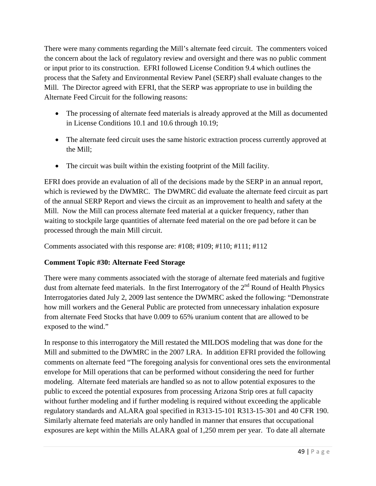There were many comments regarding the Mill's alternate feed circuit. The commenters voiced the concern about the lack of regulatory review and oversight and there was no public comment or input prior to its construction. EFRI followed License Condition 9.4 which outlines the process that the Safety and Environmental Review Panel (SERP) shall evaluate changes to the Mill. The Director agreed with EFRI, that the SERP was appropriate to use in building the Alternate Feed Circuit for the following reasons:

- The processing of alternate feed materials is already approved at the Mill as documented in License Conditions 10.1 and 10.6 through 10.19;
- The alternate feed circuit uses the same historic extraction process currently approved at the Mill;
- The circuit was built within the existing footprint of the Mill facility.

EFRI does provide an evaluation of all of the decisions made by the SERP in an annual report, which is reviewed by the DWMRC. The DWMRC did evaluate the alternate feed circuit as part of the annual SERP Report and views the circuit as an improvement to health and safety at the Mill. Now the Mill can process alternate feed material at a quicker frequency, rather than waiting to stockpile large quantities of alternate feed material on the ore pad before it can be processed through the main Mill circuit.

Comments associated with this response are: #108; #109; #110; #111; #112

### **Comment Topic #30: Alternate Feed Storage**

There were many comments associated with the storage of alternate feed materials and fugitive dust from alternate feed materials. In the first Interrogatory of the  $2<sup>nd</sup>$  Round of Health Physics Interrogatories dated July 2, 2009 last sentence the DWMRC asked the following: "Demonstrate how mill workers and the General Public are protected from unnecessary inhalation exposure from alternate Feed Stocks that have 0.009 to 65% uranium content that are allowed to be exposed to the wind."

In response to this interrogatory the Mill restated the MILDOS modeling that was done for the Mill and submitted to the DWMRC in the 2007 LRA. In addition EFRI provided the following comments on alternate feed "The foregoing analysis for conventional ores sets the environmental envelope for Mill operations that can be performed without considering the need for further modeling. Alternate feed materials are handled so as not to allow potential exposures to the public to exceed the potential exposures from processing Arizona Strip ores at full capacity without further modeling and if further modeling is required without exceeding the applicable regulatory standards and ALARA goal specified in R313-15-101 R313-15-301 and 40 CFR 190. Similarly alternate feed materials are only handled in manner that ensures that occupational exposures are kept within the Mills ALARA goal of 1,250 mrem per year. To date all alternate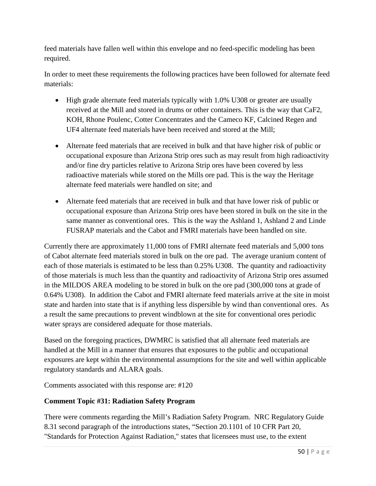feed materials have fallen well within this envelope and no feed-specific modeling has been required.

In order to meet these requirements the following practices have been followed for alternate feed materials:

- High grade alternate feed materials typically with 1.0% U308 or greater are usually received at the Mill and stored in drums or other containers. This is the way that CaF2, KOH, Rhone Poulenc, Cotter Concentrates and the Cameco KF, Calcined Regen and UF4 alternate feed materials have been received and stored at the Mill;
- Alternate feed materials that are received in bulk and that have higher risk of public or occupational exposure than Arizona Strip ores such as may result from high radioactivity and/or fine dry particles relative to Arizona Strip ores have been covered by less radioactive materials while stored on the Mills ore pad. This is the way the Heritage alternate feed materials were handled on site; and
- Alternate feed materials that are received in bulk and that have lower risk of public or occupational exposure than Arizona Strip ores have been stored in bulk on the site in the same manner as conventional ores. This is the way the Ashland 1, Ashland 2 and Linde FUSRAP materials and the Cabot and FMRI materials have been handled on site.

Currently there are approximately 11,000 tons of FMRI alternate feed materials and 5,000 tons of Cabot alternate feed materials stored in bulk on the ore pad. The average uranium content of each of those materials is estimated to be less than 0.25% U308. The quantity and radioactivity of those materials is much less than the quantity and radioactivity of Arizona Strip ores assumed in the MILDOS AREA modeling to be stored in bulk on the ore pad (300,000 tons at grade of 0.64% U308). In addition the Cabot and FMRI alternate feed materials arrive at the site in moist state and harden into state that is if anything less dispersible by wind than conventional ores. As a result the same precautions to prevent windblown at the site for conventional ores periodic water sprays are considered adequate for those materials.

Based on the foregoing practices, DWMRC is satisfied that all alternate feed materials are handled at the Mill in a manner that ensures that exposures to the public and occupational exposures are kept within the environmental assumptions for the site and well within applicable regulatory standards and ALARA goals.

Comments associated with this response are: #120

### **Comment Topic #31: Radiation Safety Program**

There were comments regarding the Mill's Radiation Safety Program. NRC Regulatory Guide 8.31 second paragraph of the introductions states, "Section 20.1101 of 10 CFR Part 20, "Standards for Protection Against Radiation," states that licensees must use, to the extent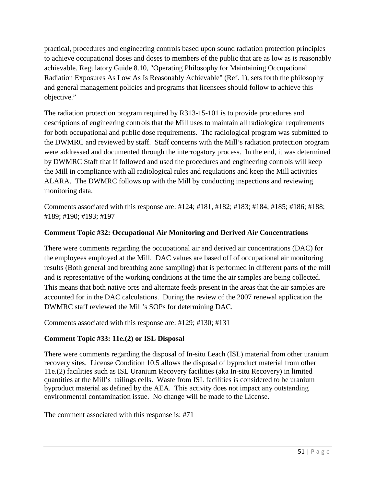practical, procedures and engineering controls based upon sound radiation protection principles to achieve occupational doses and doses to members of the public that are as low as is reasonably achievable. Regulatory Guide 8.10, "Operating Philosophy for Maintaining Occupational Radiation Exposures As Low As Is Reasonably Achievable" (Ref. 1), sets forth the philosophy and general management policies and programs that licensees should follow to achieve this objective."

The radiation protection program required by R313-15-101 is to provide procedures and descriptions of engineering controls that the Mill uses to maintain all radiological requirements for both occupational and public dose requirements. The radiological program was submitted to the DWMRC and reviewed by staff. Staff concerns with the Mill's radiation protection program were addressed and documented through the interrogatory process. In the end, it was determined by DWMRC Staff that if followed and used the procedures and engineering controls will keep the Mill in compliance with all radiological rules and regulations and keep the Mill activities ALARA. The DWMRC follows up with the Mill by conducting inspections and reviewing monitoring data.

Comments associated with this response are: #124; #181, #182; #183; #184; #185; #186; #188; #189; #190; #193; #197

## **Comment Topic #32: Occupational Air Monitoring and Derived Air Concentrations**

There were comments regarding the occupational air and derived air concentrations (DAC) for the employees employed at the Mill. DAC values are based off of occupational air monitoring results (Both general and breathing zone sampling) that is performed in different parts of the mill and is representative of the working conditions at the time the air samples are being collected. This means that both native ores and alternate feeds present in the areas that the air samples are accounted for in the DAC calculations. During the review of the 2007 renewal application the DWMRC staff reviewed the Mill's SOPs for determining DAC.

Comments associated with this response are: #129; #130; #131

### **Comment Topic #33: 11e.(2) or ISL Disposal**

There were comments regarding the disposal of In-situ Leach (ISL) material from other uranium recovery sites. License Condition 10.5 allows the disposal of byproduct material from other 11e.(2) facilities such as ISL Uranium Recovery facilities (aka In-situ Recovery) in limited quantities at the Mill's tailings cells. Waste from ISL facilities is considered to be uranium byproduct material as defined by the AEA. This activity does not impact any outstanding environmental contamination issue. No change will be made to the License.

The comment associated with this response is: #71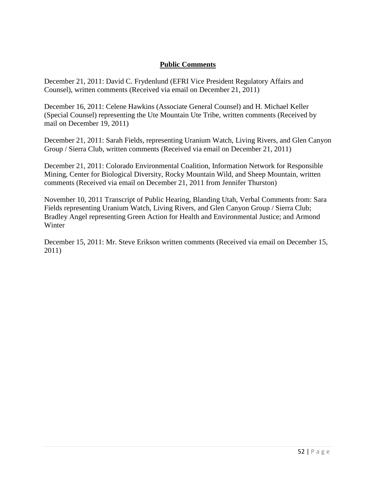#### **Public Comments**

December 21, 2011: David C. Frydenlund (EFRI Vice President Regulatory Affairs and Counsel), written comments (Received via email on December 21, 2011)

December 16, 2011: Celene Hawkins (Associate General Counsel) and H. Michael Keller (Special Counsel) representing the Ute Mountain Ute Tribe, written comments (Received by mail on December 19, 2011)

December 21, 2011: Sarah Fields, representing Uranium Watch, Living Rivers, and Glen Canyon Group / Sierra Club, written comments (Received via email on December 21, 2011)

December 21, 2011: Colorado Environmental Coalition, Information Network for Responsible Mining, Center for Biological Diversity, Rocky Mountain Wild, and Sheep Mountain, written comments (Received via email on December 21, 2011 from Jennifer Thurston)

November 10, 2011 Transcript of Public Hearing, Blanding Utah, Verbal Comments from: Sara Fields representing Uranium Watch, Living Rivers, and Glen Canyon Group / Sierra Club; Bradley Angel representing Green Action for Health and Environmental Justice; and Armond Winter

December 15, 2011: Mr. Steve Erikson written comments (Received via email on December 15, 2011)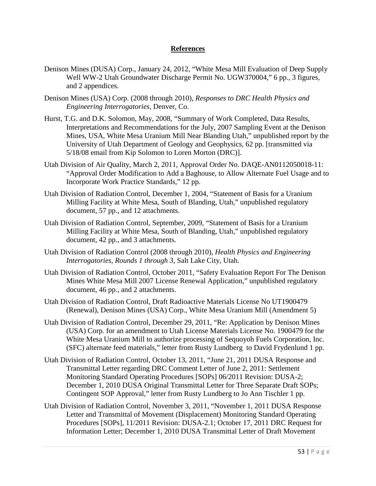#### **References**

- Denison Mines (DUSA) Corp., January 24, 2012, "White Mesa Mill Evaluation of Deep Supply Well WW-2 Utah Groundwater Discharge Permit No. UGW370004," 6 pp., 3 figures, and 2 appendices.
- Denison Mines (USA) Corp. (2008 through 2010), *Responses to DRC Health Physics and Engineering Interrogatories*, Denver, Co.
- Hurst, T.G. and D.K. Solomon, May, 2008, "Summary of Work Completed, Data Results, Interpretations and Recommendations for the July, 2007 Sampling Event at the Denison Mines, USA, White Mesa Uranium Mill Near Blanding Utah," unpublished report by the University of Utah Department of Geology and Geophysics, 62 pp. [transmitted via 5/18/08 email from Kip Solomon to Loren Morton (DRC)].
- Utah Division of Air Quality, March 2, 2011, Approval Order No. DAQE-AN0112050018-11: "Approval Order Modification to Add a Baghouse, to Allow Alternate Fuel Usage and to Incorporate Work Practice Standards," 12 pp.
- Utah Division of Radiation Control, December 1, 2004, "Statement of Basis for a Uranium Milling Facility at White Mesa, South of Blanding, Utah," unpublished regulatory document, 57 pp., and 12 attachments.
- Utah Division of Radiation Control, September, 2009, "Statement of Basis for a Uranium Milling Facility at White Mesa, South of Blanding, Utah," unpublished regulatory document, 42 pp., and 3 attachments.
- Utah Division of Radiation Control (2008 through 2010), *Health Physics and Engineering Interrogatories, Rounds 1 through 3*, Salt Lake City, Utah.
- Utah Division of Radiation Control, October 2011, "Safety Evaluation Report For The Denison Mines White Mesa Mill 2007 License Renewal Application," unpublished regulatory document, 46 pp., and 2 attachments.
- Utah Division of Radiation Control, Draft Radioactive Materials License No UT1900479 (Renewal), Denison Mines (USA) Corp., White Mesa Uranium Mill (Amendment 5)
- Utah Division of Radiation Control, December 29, 2011, "Re: Application by Denison Mines (USA) Corp. for an amendment to Utah License Materials License No. 1900479 for the White Mesa Uranium Mill to authorize processing of Sequoyoh Fuels Corporation, Inc. (SFC) alternate feed materials," letter from Rusty Lundberg to David Frydenlund 1 pp.
- Utah Division of Radiation Control, October 13, 2011, "June 21, 2011 DUSA Response and Transmittal Letter regarding DRC Comment Letter of June 2, 2011: Settlement Monitoring Standard Operating Procedures [SOPs] 06/2011 Revision: DUSA-2; December 1, 2010 DUSA Original Transmittal Letter for Three Separate Draft SOPs; Contingent SOP Approval," letter from Rusty Lundberg to Jo Ann Tischler 1 pp.
- Utah Division of Radiation Control, November 3, 2011, "November 1, 2011 DUSA Response Letter and Transmittal of Movement (Displacement) Monitoring Standard Operating Procedures [SOPs], 11/2011 Revision: DUSA-2.1; October 17, 2011 DRC Request for Information Letter; December 1, 2010 DUSA Transmittal Letter of Draft Movement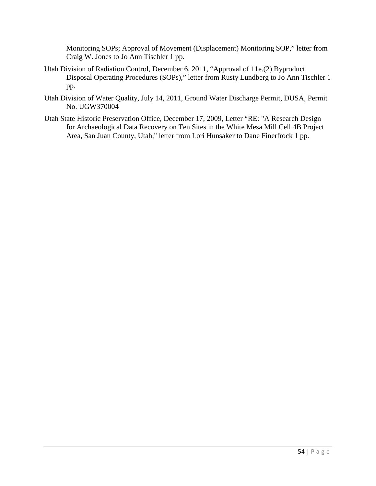Monitoring SOPs; Approval of Movement (Displacement) Monitoring SOP," letter from Craig W. Jones to Jo Ann Tischler 1 pp.

- Utah Division of Radiation Control, December 6, 2011, "Approval of 11e.(2) Byproduct Disposal Operating Procedures (SOPs)," letter from Rusty Lundberg to Jo Ann Tischler 1 pp.
- Utah Division of Water Quality, July 14, 2011, Ground Water Discharge Permit, DUSA, Permit No. UGW370004
- Utah State Historic Preservation Office, December 17, 2009, Letter "RE: "A Research Design for Archaeological Data Recovery on Ten Sites in the White Mesa Mill Cell 4B Project Area, San Juan County, Utah," letter from Lori Hunsaker to Dane Finerfrock 1 pp.